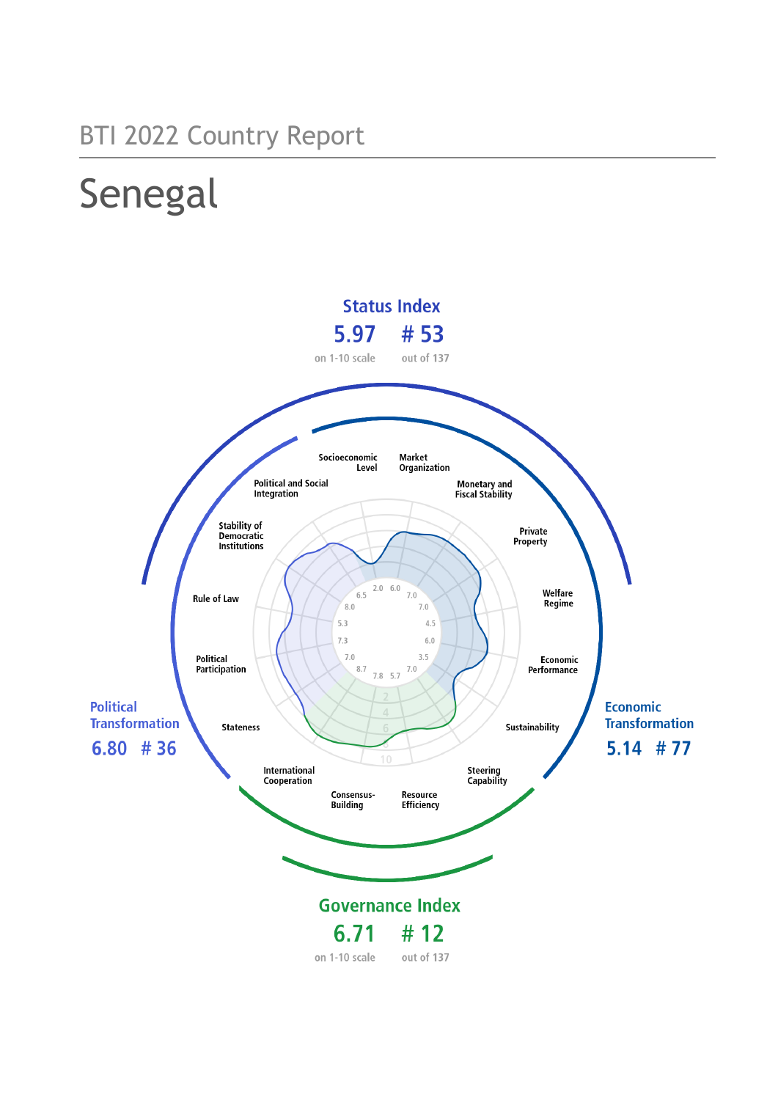## BTI 2022 Country Report

# Senegal

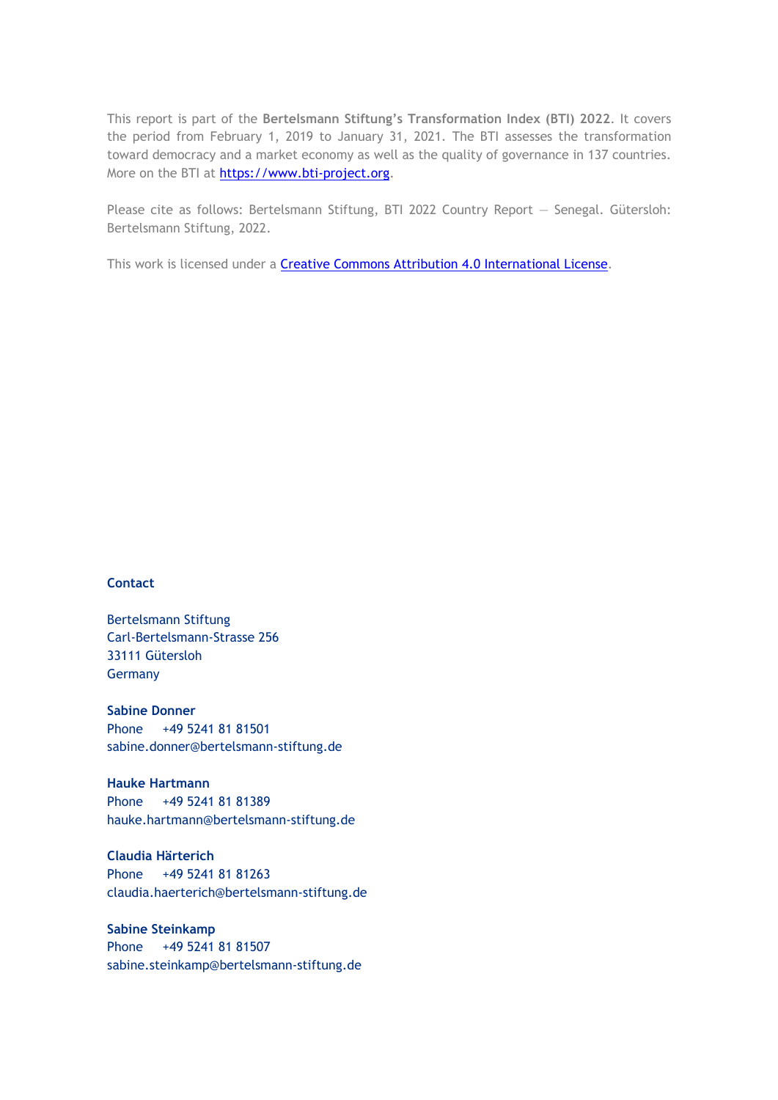This report is part of the **Bertelsmann Stiftung's Transformation Index (BTI) 2022**. It covers the period from February 1, 2019 to January 31, 2021. The BTI assesses the transformation toward democracy and a market economy as well as the quality of governance in 137 countries. More on the BTI at [https://www.bti-project.org.](https://www.bti-project.org/)

Please cite as follows: Bertelsmann Stiftung, BTI 2022 Country Report — Senegal. Gütersloh: Bertelsmann Stiftung, 2022.

This work is licensed under a **Creative Commons Attribution 4.0 International License**.

#### **Contact**

Bertelsmann Stiftung Carl-Bertelsmann-Strasse 256 33111 Gütersloh **Germany** 

**Sabine Donner** Phone +49 5241 81 81501 sabine.donner@bertelsmann-stiftung.de

**Hauke Hartmann** Phone +49 5241 81 81389 hauke.hartmann@bertelsmann-stiftung.de

**Claudia Härterich** Phone +49 5241 81 81263 claudia.haerterich@bertelsmann-stiftung.de

#### **Sabine Steinkamp** Phone +49 5241 81 81507 sabine.steinkamp@bertelsmann-stiftung.de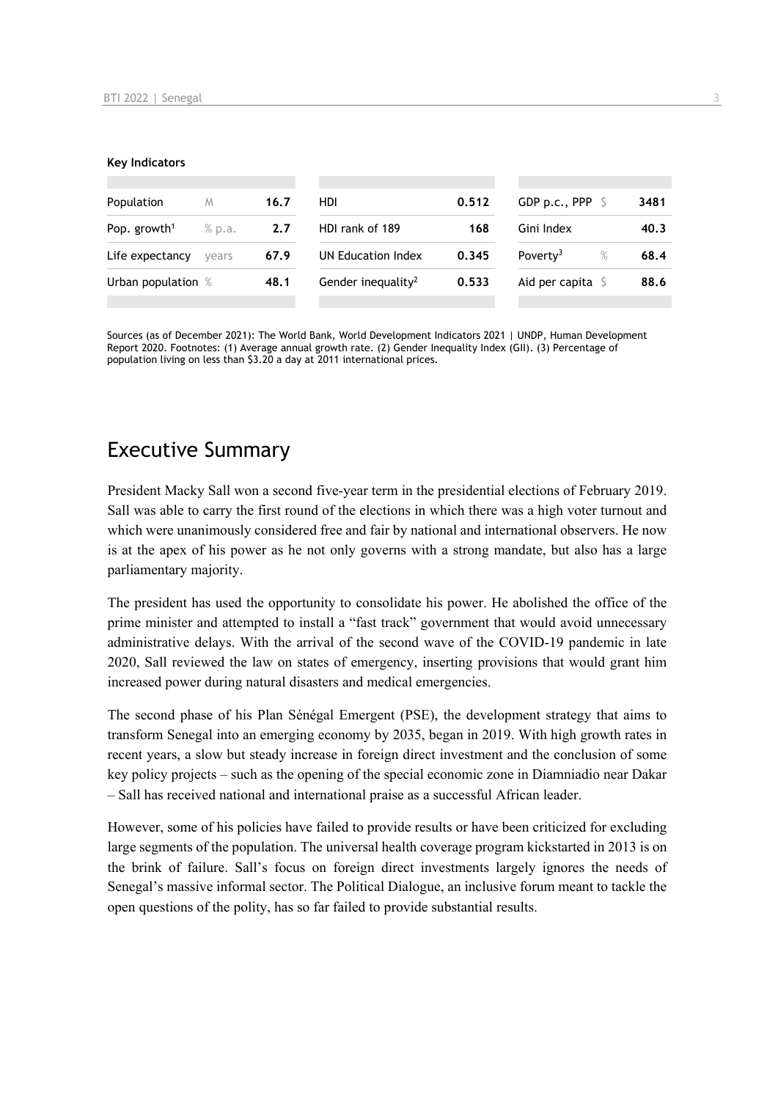#### **Key Indicators**

| Population                         | M     | 16.7 | HDI                            | 0.512 | GDP p.c., PPP $\ S$          | 3481 |
|------------------------------------|-------|------|--------------------------------|-------|------------------------------|------|
| Pop. growth <sup>1</sup><br>% p.a. |       | 2.7  | HDI rank of 189                | 168   | Gini Index                   | 40.3 |
| Life expectancy                    | vears | 67.9 | UN Education Index             | 0.345 | Poverty <sup>3</sup><br>$\%$ | 68.4 |
| Urban population %                 |       | 48.1 | Gender inequality <sup>2</sup> | 0.533 | Aid per capita $\mathsf S$   | 88.6 |
|                                    |       |      |                                |       |                              |      |

Sources (as of December 2021): The World Bank, World Development Indicators 2021 | UNDP, Human Development Report 2020. Footnotes: (1) Average annual growth rate. (2) Gender Inequality Index (GII). (3) Percentage of population living on less than \$3.20 a day at 2011 international prices.

## Executive Summary

President Macky Sall won a second five-year term in the presidential elections of February 2019. Sall was able to carry the first round of the elections in which there was a high voter turnout and which were unanimously considered free and fair by national and international observers. He now is at the apex of his power as he not only governs with a strong mandate, but also has a large parliamentary majority.

The president has used the opportunity to consolidate his power. He abolished the office of the prime minister and attempted to install a "fast track" government that would avoid unnecessary administrative delays. With the arrival of the second wave of the COVID-19 pandemic in late 2020, Sall reviewed the law on states of emergency, inserting provisions that would grant him increased power during natural disasters and medical emergencies.

The second phase of his Plan Sénégal Emergent (PSE), the development strategy that aims to transform Senegal into an emerging economy by 2035, began in 2019. With high growth rates in recent years, a slow but steady increase in foreign direct investment and the conclusion of some key policy projects – such as the opening of the special economic zone in Diamniadio near Dakar – Sall has received national and international praise as a successful African leader.

However, some of his policies have failed to provide results or have been criticized for excluding large segments of the population. The universal health coverage program kickstarted in 2013 is on the brink of failure. Sall's focus on foreign direct investments largely ignores the needs of Senegal's massive informal sector. The Political Dialogue, an inclusive forum meant to tackle the open questions of the polity, has so far failed to provide substantial results.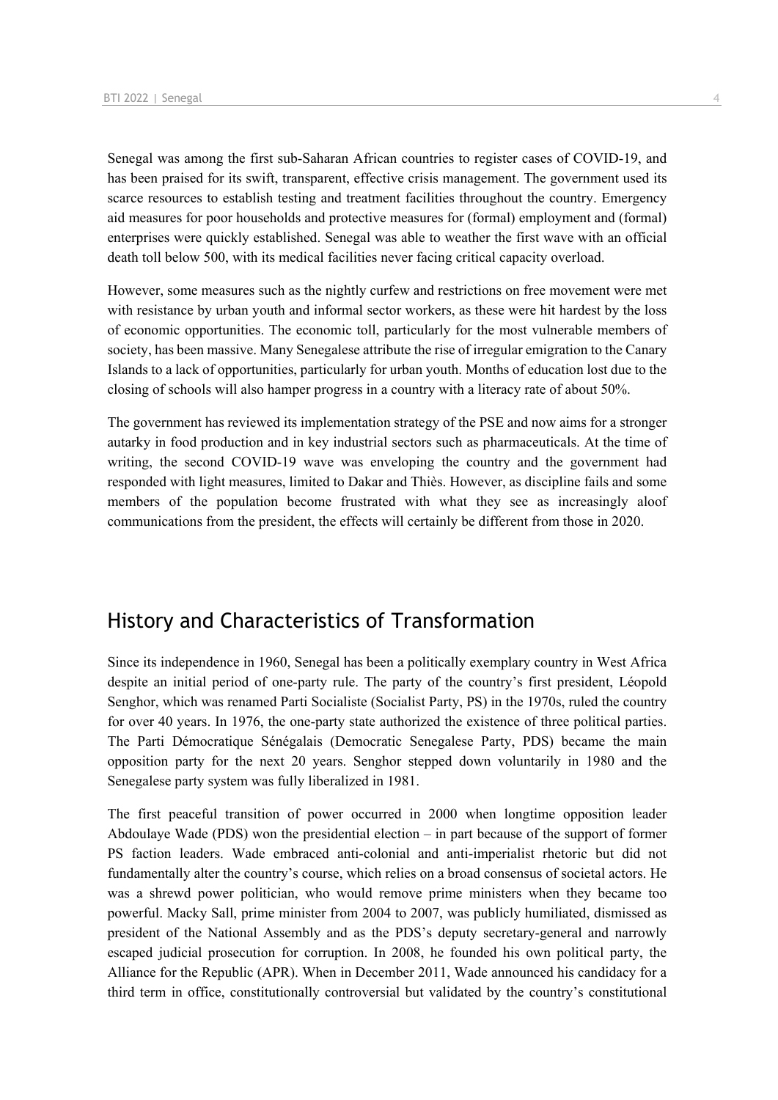Senegal was among the first sub-Saharan African countries to register cases of COVID-19, and has been praised for its swift, transparent, effective crisis management. The government used its scarce resources to establish testing and treatment facilities throughout the country. Emergency aid measures for poor households and protective measures for (formal) employment and (formal) enterprises were quickly established. Senegal was able to weather the first wave with an official death toll below 500, with its medical facilities never facing critical capacity overload.

However, some measures such as the nightly curfew and restrictions on free movement were met with resistance by urban youth and informal sector workers, as these were hit hardest by the loss of economic opportunities. The economic toll, particularly for the most vulnerable members of society, has been massive. Many Senegalese attribute the rise of irregular emigration to the Canary Islands to a lack of opportunities, particularly for urban youth. Months of education lost due to the closing of schools will also hamper progress in a country with a literacy rate of about 50%.

The government has reviewed its implementation strategy of the PSE and now aims for a stronger autarky in food production and in key industrial sectors such as pharmaceuticals. At the time of writing, the second COVID-19 wave was enveloping the country and the government had responded with light measures, limited to Dakar and Thiès. However, as discipline fails and some members of the population become frustrated with what they see as increasingly aloof communications from the president, the effects will certainly be different from those in 2020.

## History and Characteristics of Transformation

Since its independence in 1960, Senegal has been a politically exemplary country in West Africa despite an initial period of one-party rule. The party of the country's first president, Léopold Senghor, which was renamed Parti Socialiste (Socialist Party, PS) in the 1970s, ruled the country for over 40 years. In 1976, the one-party state authorized the existence of three political parties. The Parti Démocratique Sénégalais (Democratic Senegalese Party, PDS) became the main opposition party for the next 20 years. Senghor stepped down voluntarily in 1980 and the Senegalese party system was fully liberalized in 1981.

The first peaceful transition of power occurred in 2000 when longtime opposition leader Abdoulaye Wade (PDS) won the presidential election – in part because of the support of former PS faction leaders. Wade embraced anti-colonial and anti-imperialist rhetoric but did not fundamentally alter the country's course, which relies on a broad consensus of societal actors. He was a shrewd power politician, who would remove prime ministers when they became too powerful. Macky Sall, prime minister from 2004 to 2007, was publicly humiliated, dismissed as president of the National Assembly and as the PDS's deputy secretary-general and narrowly escaped judicial prosecution for corruption. In 2008, he founded his own political party, the Alliance for the Republic (APR). When in December 2011, Wade announced his candidacy for a third term in office, constitutionally controversial but validated by the country's constitutional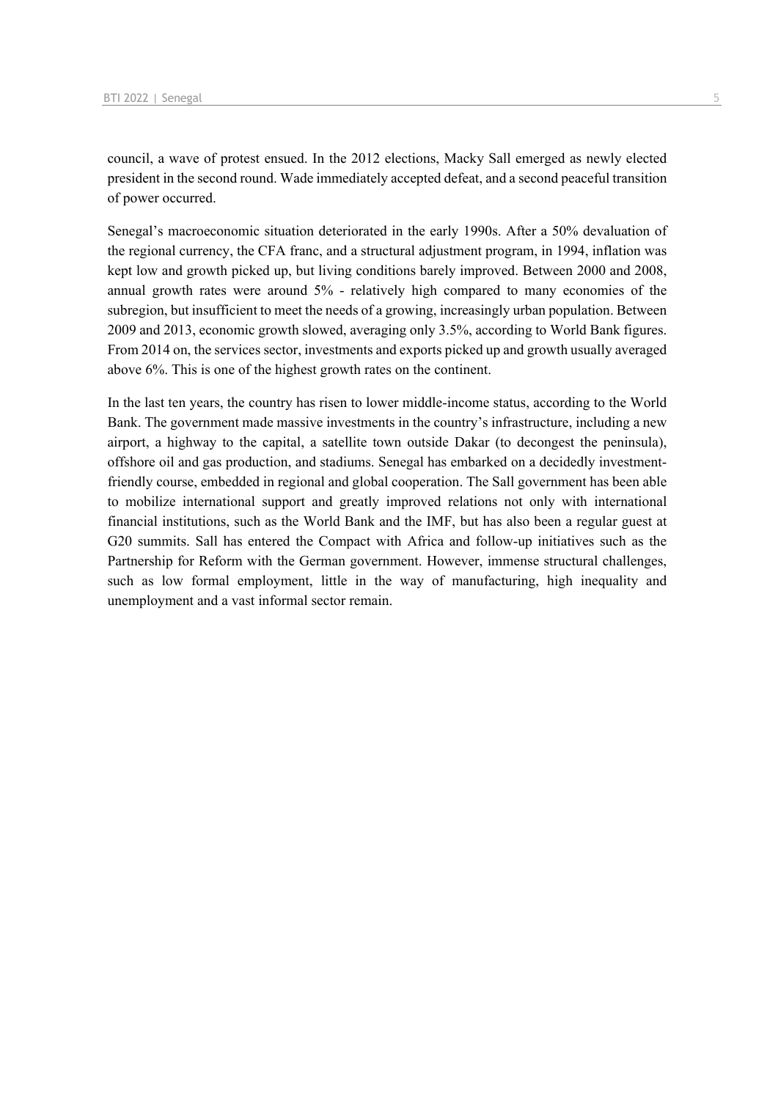council, a wave of protest ensued. In the 2012 elections, Macky Sall emerged as newly elected president in the second round. Wade immediately accepted defeat, and a second peaceful transition of power occurred.

Senegal's macroeconomic situation deteriorated in the early 1990s. After a 50% devaluation of the regional currency, the CFA franc, and a structural adjustment program, in 1994, inflation was kept low and growth picked up, but living conditions barely improved. Between 2000 and 2008, annual growth rates were around 5% - relatively high compared to many economies of the subregion, but insufficient to meet the needs of a growing, increasingly urban population. Between 2009 and 2013, economic growth slowed, averaging only 3.5%, according to World Bank figures. From 2014 on, the services sector, investments and exports picked up and growth usually averaged above 6%. This is one of the highest growth rates on the continent.

In the last ten years, the country has risen to lower middle-income status, according to the World Bank. The government made massive investments in the country's infrastructure, including a new airport, a highway to the capital, a satellite town outside Dakar (to decongest the peninsula), offshore oil and gas production, and stadiums. Senegal has embarked on a decidedly investmentfriendly course, embedded in regional and global cooperation. The Sall government has been able to mobilize international support and greatly improved relations not only with international financial institutions, such as the World Bank and the IMF, but has also been a regular guest at G20 summits. Sall has entered the Compact with Africa and follow-up initiatives such as the Partnership for Reform with the German government. However, immense structural challenges, such as low formal employment, little in the way of manufacturing, high inequality and unemployment and a vast informal sector remain.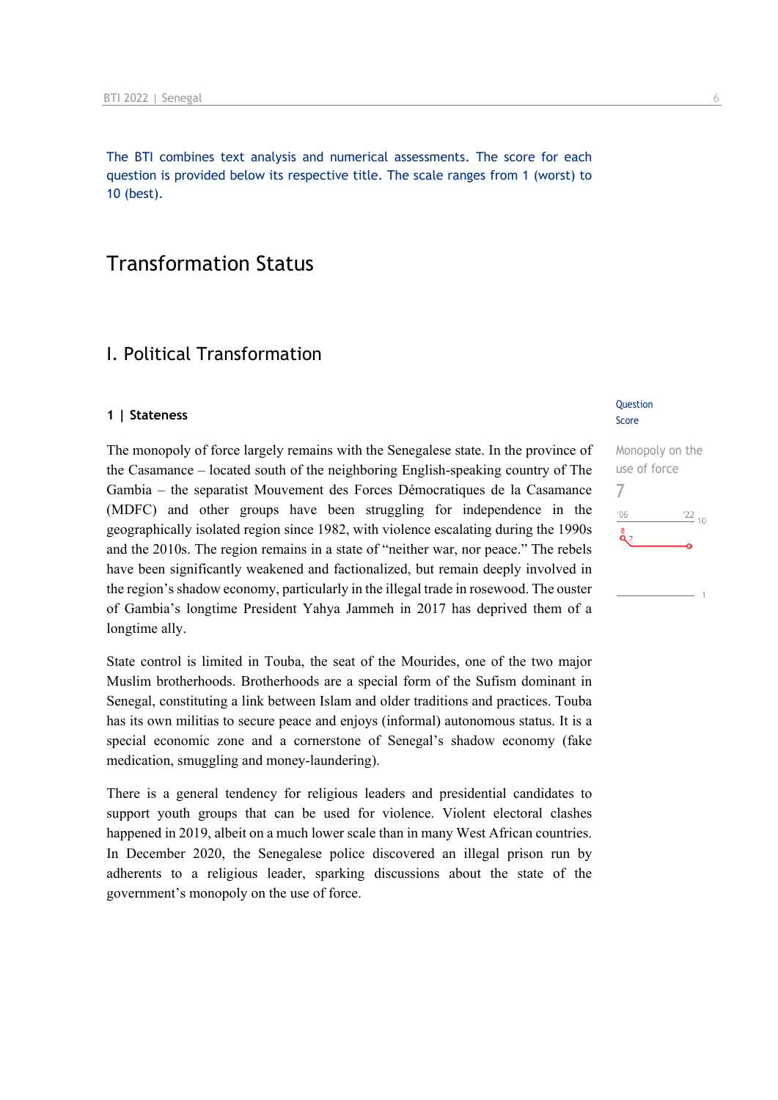The BTI combines text analysis and numerical assessments. The score for each question is provided below its respective title. The scale ranges from 1 (worst) to 10 (best).

## Transformation Status

## I. Political Transformation

#### **1 | Stateness**

The monopoly of force largely remains with the Senegalese state. In the province of the Casamance – located south of the neighboring English-speaking country of The Gambia – the separatist Mouvement des Forces Démocratiques de la Casamance (MDFC) and other groups have been struggling for independence in the geographically isolated region since 1982, with violence escalating during the 1990s and the 2010s. The region remains in a state of "neither war, nor peace." The rebels have been significantly weakened and factionalized, but remain deeply involved in the region's shadow economy, particularly in the illegal trade in rosewood. The ouster of Gambia's longtime President Yahya Jammeh in 2017 has deprived them of a longtime ally.

State control is limited in Touba, the seat of the Mourides, one of the two major Muslim brotherhoods. Brotherhoods are a special form of the Sufism dominant in Senegal, constituting a link between Islam and older traditions and practices. Touba has its own militias to secure peace and enjoys (informal) autonomous status. It is a special economic zone and a cornerstone of Senegal's shadow economy (fake medication, smuggling and money-laundering).

There is a general tendency for religious leaders and presidential candidates to support youth groups that can be used for violence. Violent electoral clashes happened in 2019, albeit on a much lower scale than in many West African countries. In December 2020, the Senegalese police discovered an illegal prison run by adherents to a religious leader, sparking discussions about the state of the government's monopoly on the use of force.

#### Question Score

| Monopoly on the        |
|------------------------|
| use of force           |
|                        |
| 106<br>$\frac{22}{10}$ |
| 8<br>Q 7               |
|                        |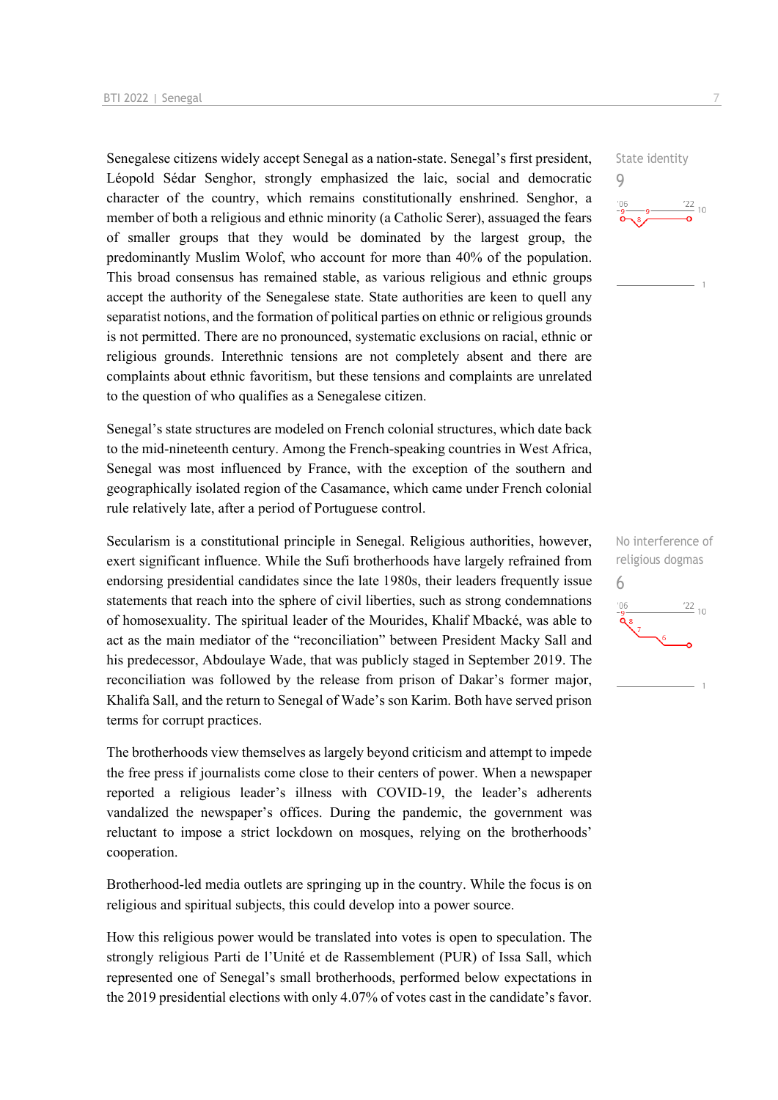Senegalese citizens widely accept Senegal as a nation-state. Senegal's first president, Léopold Sédar Senghor, strongly emphasized the laic, social and democratic character of the country, which remains constitutionally enshrined. Senghor, a member of both a religious and ethnic minority (a Catholic Serer), assuaged the fears of smaller groups that they would be dominated by the largest group, the predominantly Muslim Wolof, who account for more than 40% of the population. This broad consensus has remained stable, as various religious and ethnic groups accept the authority of the Senegalese state. State authorities are keen to quell any separatist notions, and the formation of political parties on ethnic or religious grounds is not permitted. There are no pronounced, systematic exclusions on racial, ethnic or religious grounds. Interethnic tensions are not completely absent and there are complaints about ethnic favoritism, but these tensions and complaints are unrelated to the question of who qualifies as a Senegalese citizen.

Senegal's state structures are modeled on French colonial structures, which date back to the mid-nineteenth century. Among the French-speaking countries in West Africa, Senegal was most influenced by France, with the exception of the southern and geographically isolated region of the Casamance, which came under French colonial rule relatively late, after a period of Portuguese control.

Secularism is a constitutional principle in Senegal. Religious authorities, however, exert significant influence. While the Sufi brotherhoods have largely refrained from endorsing presidential candidates since the late 1980s, their leaders frequently issue statements that reach into the sphere of civil liberties, such as strong condemnations of homosexuality. The spiritual leader of the Mourides, Khalif Mbacké, was able to act as the main mediator of the "reconciliation" between President Macky Sall and his predecessor, Abdoulaye Wade, that was publicly staged in September 2019. The reconciliation was followed by the release from prison of Dakar's former major, Khalifa Sall, and the return to Senegal of Wade's son Karim. Both have served prison terms for corrupt practices.

The brotherhoods view themselves as largely beyond criticism and attempt to impede the free press if journalists come close to their centers of power. When a newspaper reported a religious leader's illness with COVID-19, the leader's adherents vandalized the newspaper's offices. During the pandemic, the government was reluctant to impose a strict lockdown on mosques, relying on the brotherhoods' cooperation.

Brotherhood-led media outlets are springing up in the country. While the focus is on religious and spiritual subjects, this could develop into a power source.

How this religious power would be translated into votes is open to speculation. The strongly religious Parti de l'Unité et de Rassemblement (PUR) of Issa Sall, which represented one of Senegal's small brotherhoods, performed below expectations in the 2019 presidential elections with only 4.07% of votes cast in the candidate's favor.

State identity 9  $\frac{22}{10}$ 

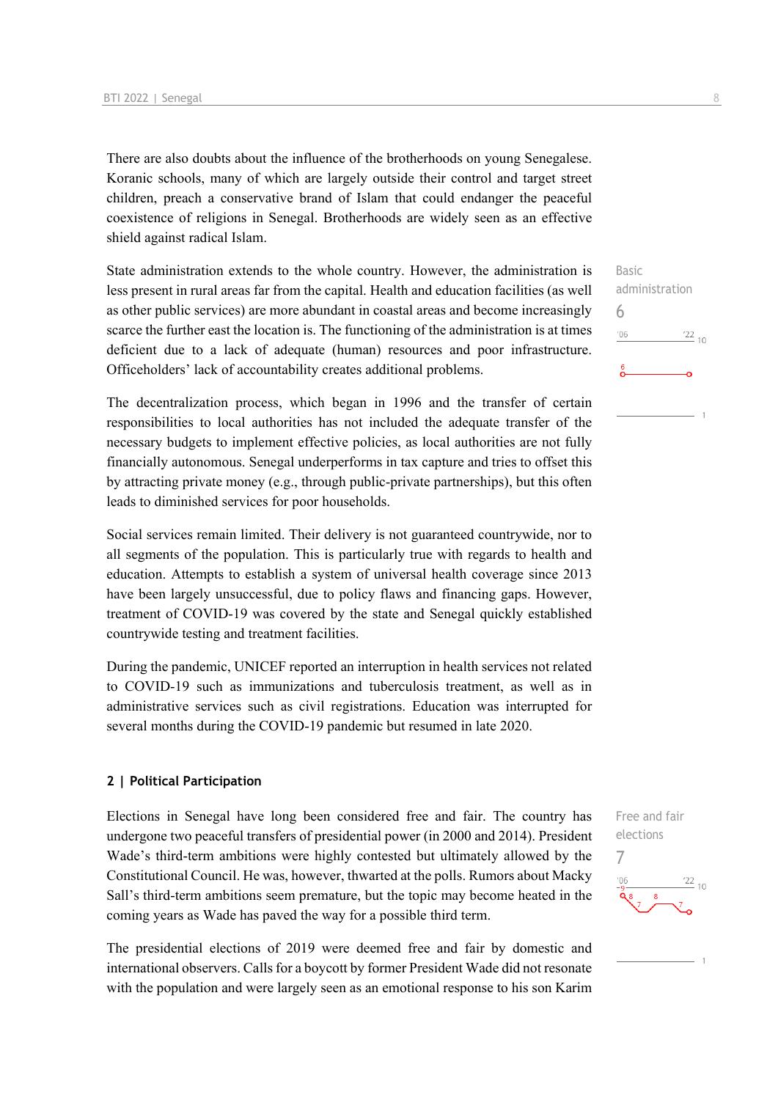There are also doubts about the influence of the brotherhoods on young Senegalese. Koranic schools, many of which are largely outside their control and target street children, preach a conservative brand of Islam that could endanger the peaceful coexistence of religions in Senegal. Brotherhoods are widely seen as an effective shield against radical Islam.

State administration extends to the whole country. However, the administration is less present in rural areas far from the capital. Health and education facilities (as well as other public services) are more abundant in coastal areas and become increasingly scarce the further east the location is. The functioning of the administration is at times deficient due to a lack of adequate (human) resources and poor infrastructure. Officeholders' lack of accountability creates additional problems.

The decentralization process, which began in 1996 and the transfer of certain responsibilities to local authorities has not included the adequate transfer of the necessary budgets to implement effective policies, as local authorities are not fully financially autonomous. Senegal underperforms in tax capture and tries to offset this by attracting private money (e.g., through public-private partnerships), but this often leads to diminished services for poor households.

Social services remain limited. Their delivery is not guaranteed countrywide, nor to all segments of the population. This is particularly true with regards to health and education. Attempts to establish a system of universal health coverage since 2013 have been largely unsuccessful, due to policy flaws and financing gaps. However, treatment of COVID-19 was covered by the state and Senegal quickly established countrywide testing and treatment facilities.

During the pandemic, UNICEF reported an interruption in health services not related to COVID-19 such as immunizations and tuberculosis treatment, as well as in administrative services such as civil registrations. Education was interrupted for several months during the COVID-19 pandemic but resumed in late 2020.

#### **2 | Political Participation**

Elections in Senegal have long been considered free and fair. The country has undergone two peaceful transfers of presidential power (in 2000 and 2014). President Wade's third-term ambitions were highly contested but ultimately allowed by the Constitutional Council. He was, however, thwarted at the polls. Rumors about Macky Sall's third-term ambitions seem premature, but the topic may become heated in the coming years as Wade has paved the way for a possible third term.

The presidential elections of 2019 were deemed free and fair by domestic and international observers. Calls for a boycott by former President Wade did not resonate with the population and were largely seen as an emotional response to his son Karim

Basic administration 6  $\frac{22}{10}$  $'06$ 

Free and fair elections 7 $\frac{22}{10}$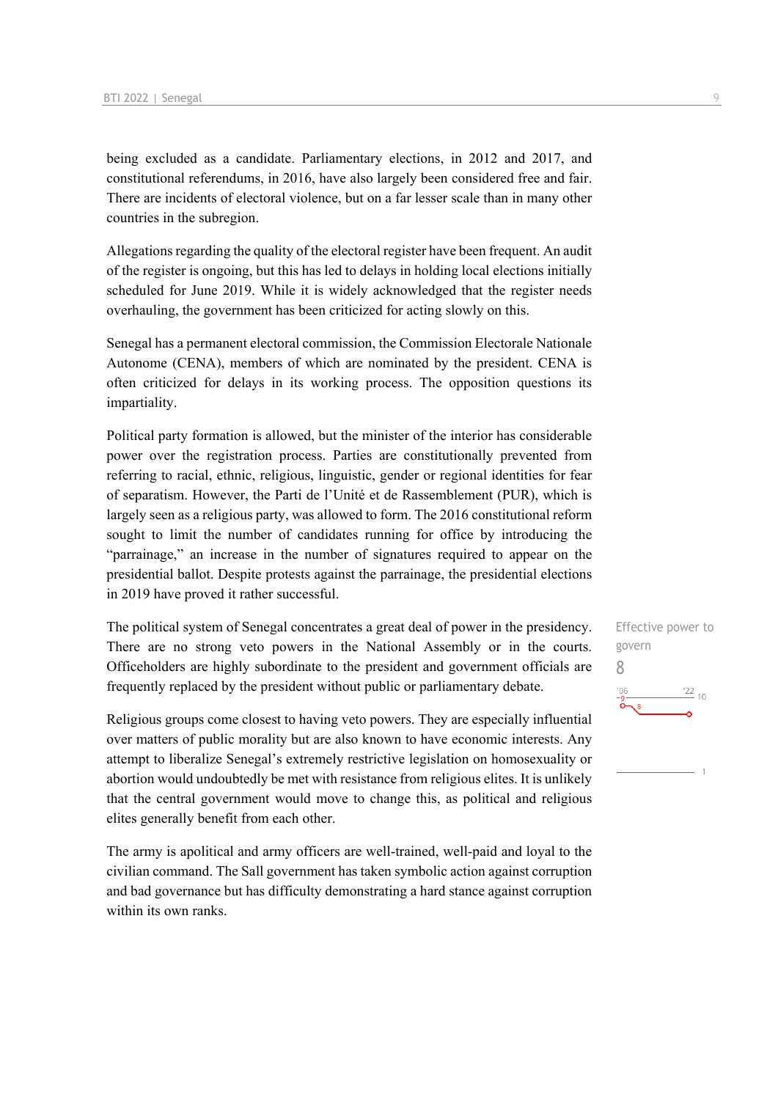being excluded as a candidate. Parliamentary elections, in 2012 and 2017, and constitutional referendums, in 2016, have also largely been considered free and fair. There are incidents of electoral violence, but on a far lesser scale than in many other countries in the subregion.

Allegations regarding the quality of the electoral register have been frequent. An audit of the register is ongoing, but this has led to delays in holding local elections initially scheduled for June 2019. While it is widely acknowledged that the register needs overhauling, the government has been criticized for acting slowly on this.

Senegal has a permanent electoral commission, the Commission Electorale Nationale Autonome (CENA), members of which are nominated by the president. CENA is often criticized for delays in its working process. The opposition questions its impartiality.

Political party formation is allowed, but the minister of the interior has considerable power over the registration process. Parties are constitutionally prevented from referring to racial, ethnic, religious, linguistic, gender or regional identities for fear of separatism. However, the Parti de l'Unité et de Rassemblement (PUR), which is largely seen as a religious party, was allowed to form. The 2016 constitutional reform sought to limit the number of candidates running for office by introducing the "parrainage," an increase in the number of signatures required to appear on the presidential ballot. Despite protests against the parrainage, the presidential elections in 2019 have proved it rather successful.

The political system of Senegal concentrates a great deal of power in the presidency. There are no strong veto powers in the National Assembly or in the courts. Officeholders are highly subordinate to the president and government officials are frequently replaced by the president without public or parliamentary debate.

Religious groups come closest to having veto powers. They are especially influential over matters of public morality but are also known to have economic interests. Any attempt to liberalize Senegal's extremely restrictive legislation on homosexuality or abortion would undoubtedly be met with resistance from religious elites. It is unlikely that the central government would move to change this, as political and religious elites generally benefit from each other.

The army is apolitical and army officers are well-trained, well-paid and loyal to the civilian command. The Sall government has taken symbolic action against corruption and bad governance but has difficulty demonstrating a hard stance against corruption within its own ranks.

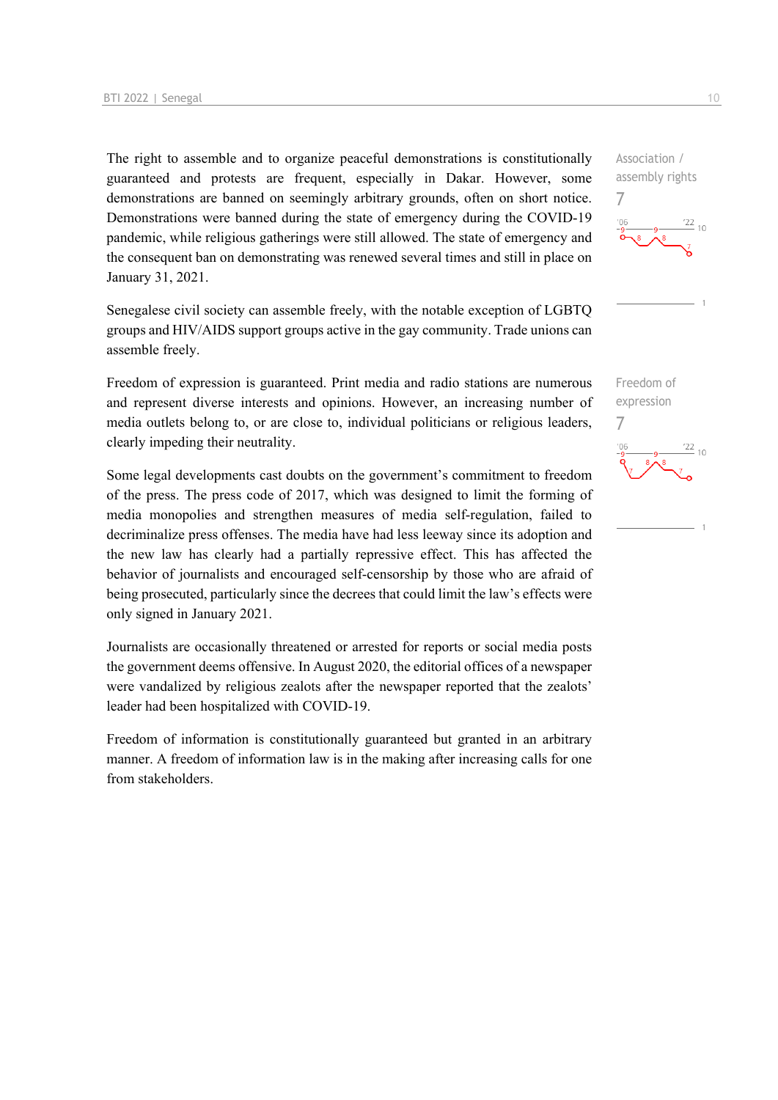The right to assemble and to organize peaceful demonstrations is constitutionally guaranteed and protests are frequent, especially in Dakar. However, some demonstrations are banned on seemingly arbitrary grounds, often on short notice. Demonstrations were banned during the state of emergency during the COVID-19 pandemic, while religious gatherings were still allowed. The state of emergency and the consequent ban on demonstrating was renewed several times and still in place on January 31, 2021.

Senegalese civil society can assemble freely, with the notable exception of LGBTQ groups and HIV/AIDS support groups active in the gay community. Trade unions can assemble freely.

Freedom of expression is guaranteed. Print media and radio stations are numerous and represent diverse interests and opinions. However, an increasing number of media outlets belong to, or are close to, individual politicians or religious leaders, clearly impeding their neutrality.

Some legal developments cast doubts on the government's commitment to freedom of the press. The press code of 2017, which was designed to limit the forming of media monopolies and strengthen measures of media self-regulation, failed to decriminalize press offenses. The media have had less leeway since its adoption and the new law has clearly had a partially repressive effect. This has affected the behavior of journalists and encouraged self-censorship by those who are afraid of being prosecuted, particularly since the decrees that could limit the law's effects were only signed in January 2021.

Journalists are occasionally threatened or arrested for reports or social media posts the government deems offensive. In August 2020, the editorial offices of a newspaper were vandalized by religious zealots after the newspaper reported that the zealots' leader had been hospitalized with COVID-19.

Freedom of information is constitutionally guaranteed but granted in an arbitrary manner. A freedom of information law is in the making after increasing calls for one from stakeholders.

Association / assembly rights 7  $\frac{22}{10}$ 



Freedom of expression 7 $\frac{22}{10}$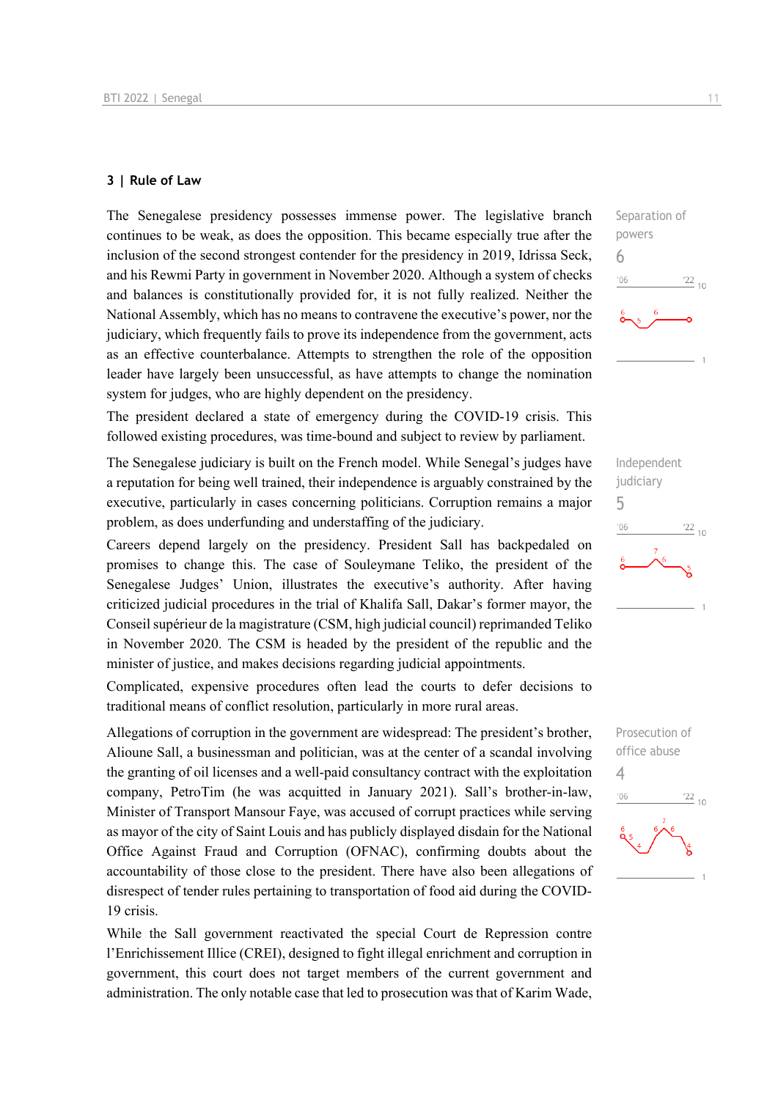#### **3 | Rule of Law**

The Senegalese presidency possesses immense power. The legislative branch continues to be weak, as does the opposition. This became especially true after the inclusion of the second strongest contender for the presidency in 2019, Idrissa Seck, and his Rewmi Party in government in November 2020. Although a system of checks and balances is constitutionally provided for, it is not fully realized. Neither the National Assembly, which has no means to contravene the executive's power, nor the judiciary, which frequently fails to prove its independence from the government, acts as an effective counterbalance. Attempts to strengthen the role of the opposition leader have largely been unsuccessful, as have attempts to change the nomination system for judges, who are highly dependent on the presidency.

The president declared a state of emergency during the COVID-19 crisis. This followed existing procedures, was time-bound and subject to review by parliament.

The Senegalese judiciary is built on the French model. While Senegal's judges have a reputation for being well trained, their independence is arguably constrained by the executive, particularly in cases concerning politicians. Corruption remains a major problem, as does underfunding and understaffing of the judiciary.

Careers depend largely on the presidency. President Sall has backpedaled on promises to change this. The case of Souleymane Teliko, the president of the Senegalese Judges' Union, illustrates the executive's authority. After having criticized judicial procedures in the trial of Khalifa Sall, Dakar's former mayor, the Conseil supérieur de la magistrature (CSM, high judicial council) reprimanded Teliko in November 2020. The CSM is headed by the president of the republic and the minister of justice, and makes decisions regarding judicial appointments.

Complicated, expensive procedures often lead the courts to defer decisions to traditional means of conflict resolution, particularly in more rural areas.

Allegations of corruption in the government are widespread: The president's brother, Alioune Sall, a businessman and politician, was at the center of a scandal involving the granting of oil licenses and a well-paid consultancy contract with the exploitation company, PetroTim (he was acquitted in January 2021). Sall's brother-in-law, Minister of Transport Mansour Faye, was accused of corrupt practices while serving as mayor of the city of Saint Louis and has publicly displayed disdain for the National Office Against Fraud and Corruption (OFNAC), confirming doubts about the accountability of those close to the president. There have also been allegations of disrespect of tender rules pertaining to transportation of food aid during the COVID-19 crisis.

While the Sall government reactivated the special Court de Repression contre l'Enrichissement Illice (CREI), designed to fight illegal enrichment and corruption in government, this court does not target members of the current government and administration. The only notable case that led to prosecution was that of Karim Wade,





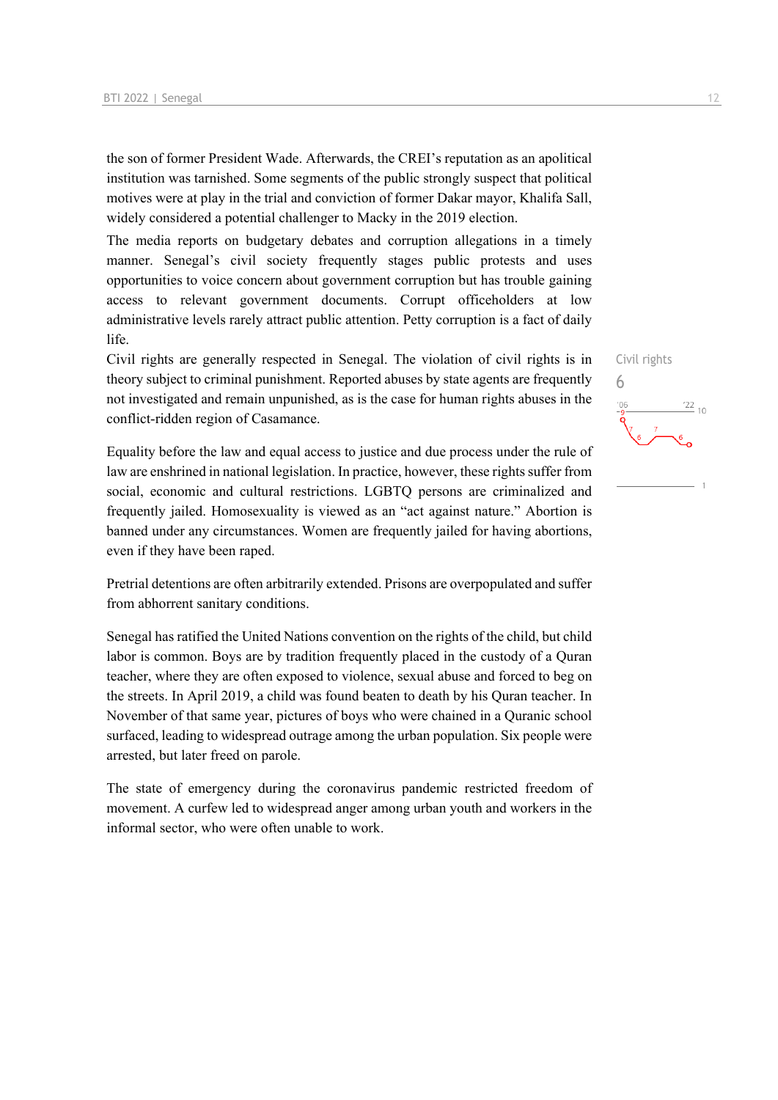the son of former President Wade. Afterwards, the CREI's reputation as an apolitical institution was tarnished. Some segments of the public strongly suspect that political motives were at play in the trial and conviction of former Dakar mayor, Khalifa Sall, widely considered a potential challenger to Macky in the 2019 election.

The media reports on budgetary debates and corruption allegations in a timely manner. Senegal's civil society frequently stages public protests and uses opportunities to voice concern about government corruption but has trouble gaining access to relevant government documents. Corrupt officeholders at low administrative levels rarely attract public attention. Petty corruption is a fact of daily life.

Civil rights are generally respected in Senegal. The violation of civil rights is in theory subject to criminal punishment. Reported abuses by state agents are frequently not investigated and remain unpunished, as is the case for human rights abuses in the conflict-ridden region of Casamance.

Equality before the law and equal access to justice and due process under the rule of law are enshrined in national legislation. In practice, however, these rights suffer from social, economic and cultural restrictions. LGBTQ persons are criminalized and frequently jailed. Homosexuality is viewed as an "act against nature." Abortion is banned under any circumstances. Women are frequently jailed for having abortions, even if they have been raped.

Pretrial detentions are often arbitrarily extended. Prisons are overpopulated and suffer from abhorrent sanitary conditions.

Senegal has ratified the United Nations convention on the rights of the child, but child labor is common. Boys are by tradition frequently placed in the custody of a Quran teacher, where they are often exposed to violence, sexual abuse and forced to beg on the streets. In April 2019, a child was found beaten to death by his Quran teacher. In November of that same year, pictures of boys who were chained in a Quranic school surfaced, leading to widespread outrage among the urban population. Six people were arrested, but later freed on parole.

The state of emergency during the coronavirus pandemic restricted freedom of movement. A curfew led to widespread anger among urban youth and workers in the informal sector, who were often unable to work.

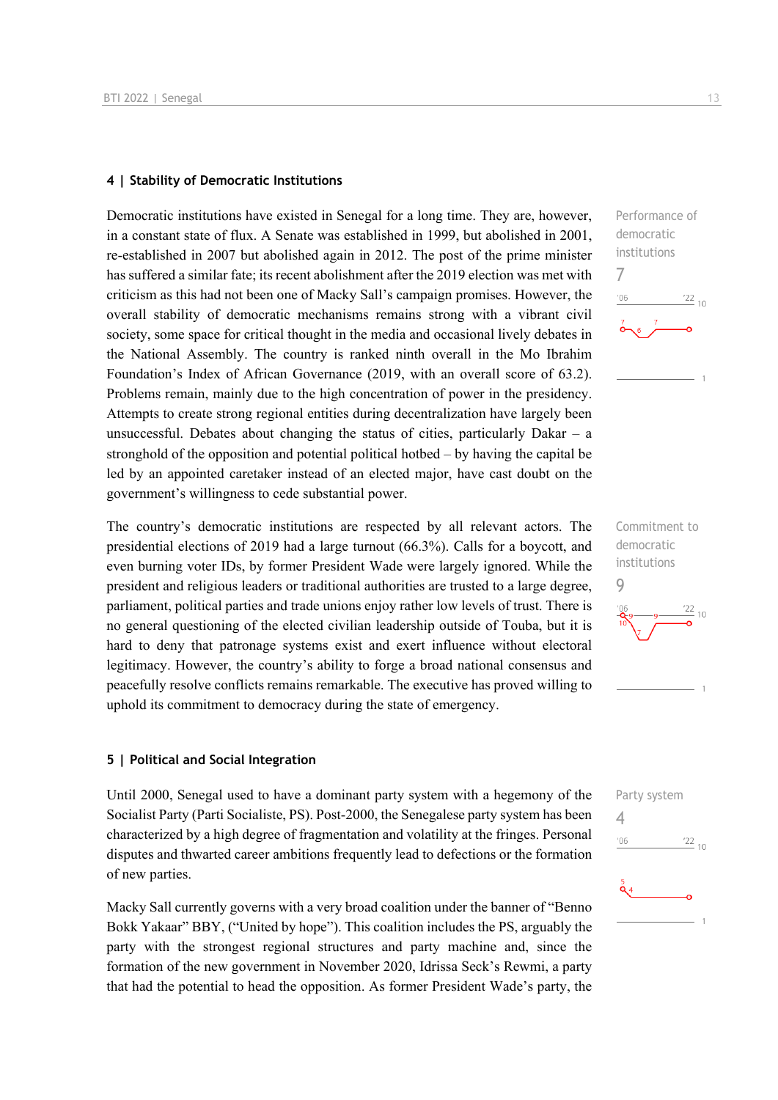#### **4 | Stability of Democratic Institutions**

Democratic institutions have existed in Senegal for a long time. They are, however, in a constant state of flux. A Senate was established in 1999, but abolished in 2001, re-established in 2007 but abolished again in 2012. The post of the prime minister has suffered a similar fate; its recent abolishment after the 2019 election was met with criticism as this had not been one of Macky Sall's campaign promises. However, the overall stability of democratic mechanisms remains strong with a vibrant civil society, some space for critical thought in the media and occasional lively debates in the National Assembly. The country is ranked ninth overall in the Mo Ibrahim Foundation's Index of African Governance (2019, with an overall score of 63.2). Problems remain, mainly due to the high concentration of power in the presidency. Attempts to create strong regional entities during decentralization have largely been unsuccessful. Debates about changing the status of cities, particularly Dakar  $-$  a stronghold of the opposition and potential political hotbed – by having the capital be led by an appointed caretaker instead of an elected major, have cast doubt on the government's willingness to cede substantial power.

The country's democratic institutions are respected by all relevant actors. The presidential elections of 2019 had a large turnout (66.3%). Calls for a boycott, and even burning voter IDs, by former President Wade were largely ignored. While the president and religious leaders or traditional authorities are trusted to a large degree, parliament, political parties and trade unions enjoy rather low levels of trust. There is no general questioning of the elected civilian leadership outside of Touba, but it is hard to deny that patronage systems exist and exert influence without electoral legitimacy. However, the country's ability to forge a broad national consensus and peacefully resolve conflicts remains remarkable. The executive has proved willing to uphold its commitment to democracy during the state of emergency.

#### **5 | Political and Social Integration**

Until 2000, Senegal used to have a dominant party system with a hegemony of the Socialist Party (Parti Socialiste, PS). Post-2000, the Senegalese party system has been characterized by a high degree of fragmentation and volatility at the fringes. Personal disputes and thwarted career ambitions frequently lead to defections or the formation of new parties.

Macky Sall currently governs with a very broad coalition under the banner of "Benno Bokk Yakaar" BBY, ("United by hope"). This coalition includes the PS, arguably the party with the strongest regional structures and party machine and, since the formation of the new government in November 2020, Idrissa Seck's Rewmi, a party that had the potential to head the opposition. As former President Wade's party, the

7

 $n<sub>f</sub>$ 

Commitment to democratic institutions  $\overline{Q}$ 

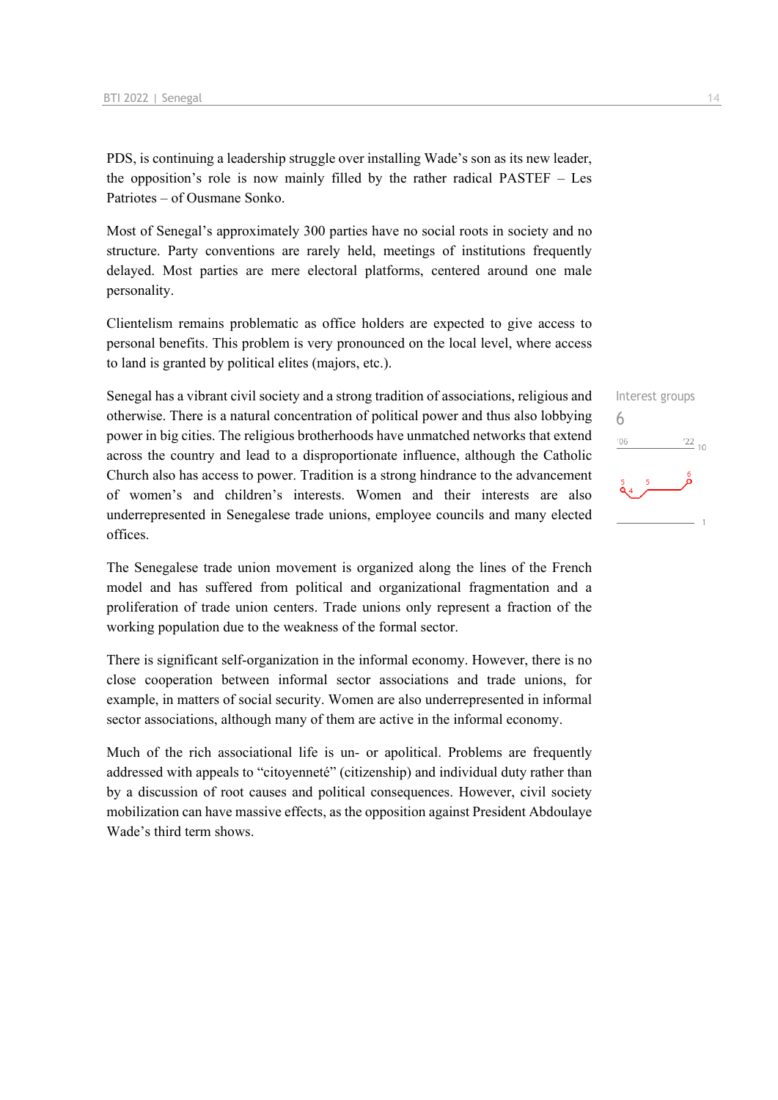PDS, is continuing a leadership struggle over installing Wade's son as its new leader, the opposition's role is now mainly filled by the rather radical PASTEF – Les Patriotes – of Ousmane Sonko.

Most of Senegal's approximately 300 parties have no social roots in society and no structure. Party conventions are rarely held, meetings of institutions frequently delayed. Most parties are mere electoral platforms, centered around one male personality.

Clientelism remains problematic as office holders are expected to give access to personal benefits. This problem is very pronounced on the local level, where access to land is granted by political elites (majors, etc.).

Senegal has a vibrant civil society and a strong tradition of associations, religious and otherwise. There is a natural concentration of political power and thus also lobbying power in big cities. The religious brotherhoods have unmatched networks that extend across the country and lead to a disproportionate influence, although the Catholic Church also has access to power. Tradition is a strong hindrance to the advancement of women's and children's interests. Women and their interests are also underrepresented in Senegalese trade unions, employee councils and many elected offices.

The Senegalese trade union movement is organized along the lines of the French model and has suffered from political and organizational fragmentation and a proliferation of trade union centers. Trade unions only represent a fraction of the working population due to the weakness of the formal sector.

There is significant self-organization in the informal economy. However, there is no close cooperation between informal sector associations and trade unions, for example, in matters of social security. Women are also underrepresented in informal sector associations, although many of them are active in the informal economy.

Much of the rich associational life is un- or apolitical. Problems are frequently addressed with appeals to "citoyenneté" (citizenship) and individual duty rather than by a discussion of root causes and political consequences. However, civil society mobilization can have massive effects, as the opposition against President Abdoulaye Wade's third term shows.

Interest groups 6 $-06$  $\frac{22}{10}$ 

 $\overline{1}$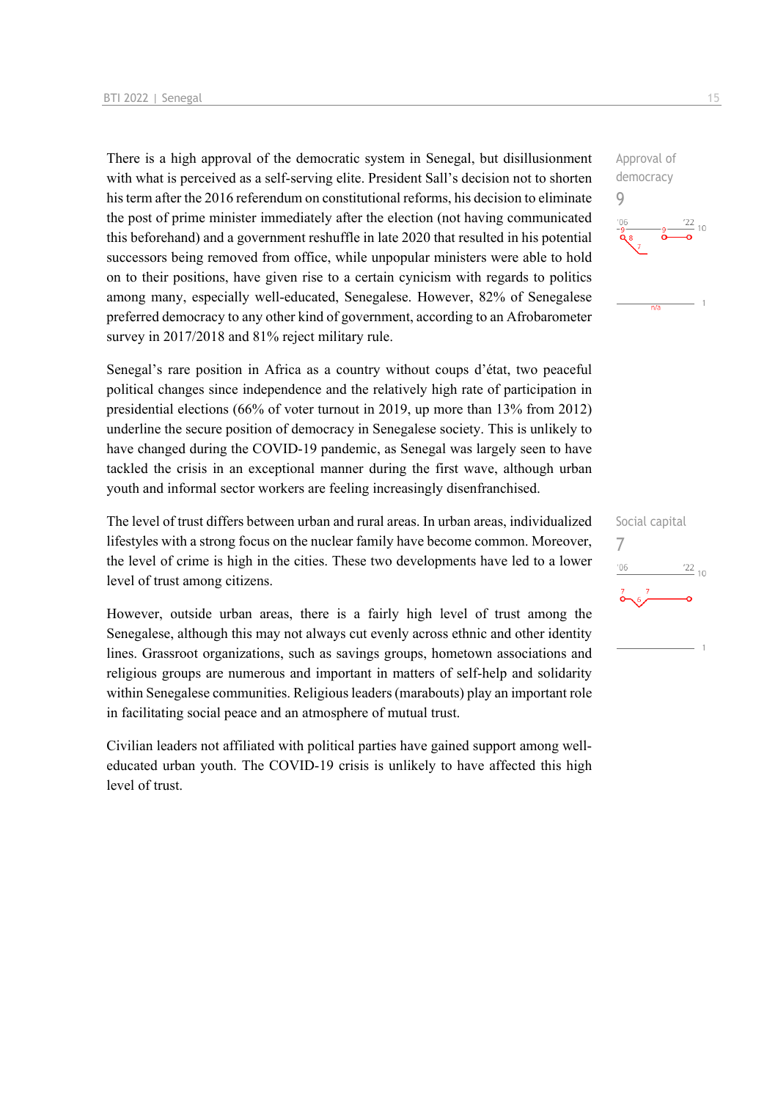There is a high approval of the democratic system in Senegal, but disillusionment with what is perceived as a self-serving elite. President Sall's decision not to shorten his term after the 2016 referendum on constitutional reforms, his decision to eliminate the post of prime minister immediately after the election (not having communicated this beforehand) and a government reshuffle in late 2020 that resulted in his potential successors being removed from office, while unpopular ministers were able to hold on to their positions, have given rise to a certain cynicism with regards to politics among many, especially well-educated, Senegalese. However, 82% of Senegalese preferred democracy to any other kind of government, according to an Afrobarometer survey in 2017/2018 and 81% reject military rule.

Senegal's rare position in Africa as a country without coups d'état, two peaceful political changes since independence and the relatively high rate of participation in presidential elections (66% of voter turnout in 2019, up more than 13% from 2012) underline the secure position of democracy in Senegalese society. This is unlikely to have changed during the COVID-19 pandemic, as Senegal was largely seen to have tackled the crisis in an exceptional manner during the first wave, although urban youth and informal sector workers are feeling increasingly disenfranchised.

The level of trust differs between urban and rural areas. In urban areas, individualized lifestyles with a strong focus on the nuclear family have become common. Moreover, the level of crime is high in the cities. These two developments have led to a lower level of trust among citizens.

However, outside urban areas, there is a fairly high level of trust among the Senegalese, although this may not always cut evenly across ethnic and other identity lines. Grassroot organizations, such as savings groups, hometown associations and religious groups are numerous and important in matters of self-help and solidarity within Senegalese communities. Religious leaders (marabouts) play an important role in facilitating social peace and an atmosphere of mutual trust.

Civilian leaders not affiliated with political parties have gained support among welleducated urban youth. The COVID-19 crisis is unlikely to have affected this high level of trust.



Social capital 7 $\frac{22}{10}$  $-06$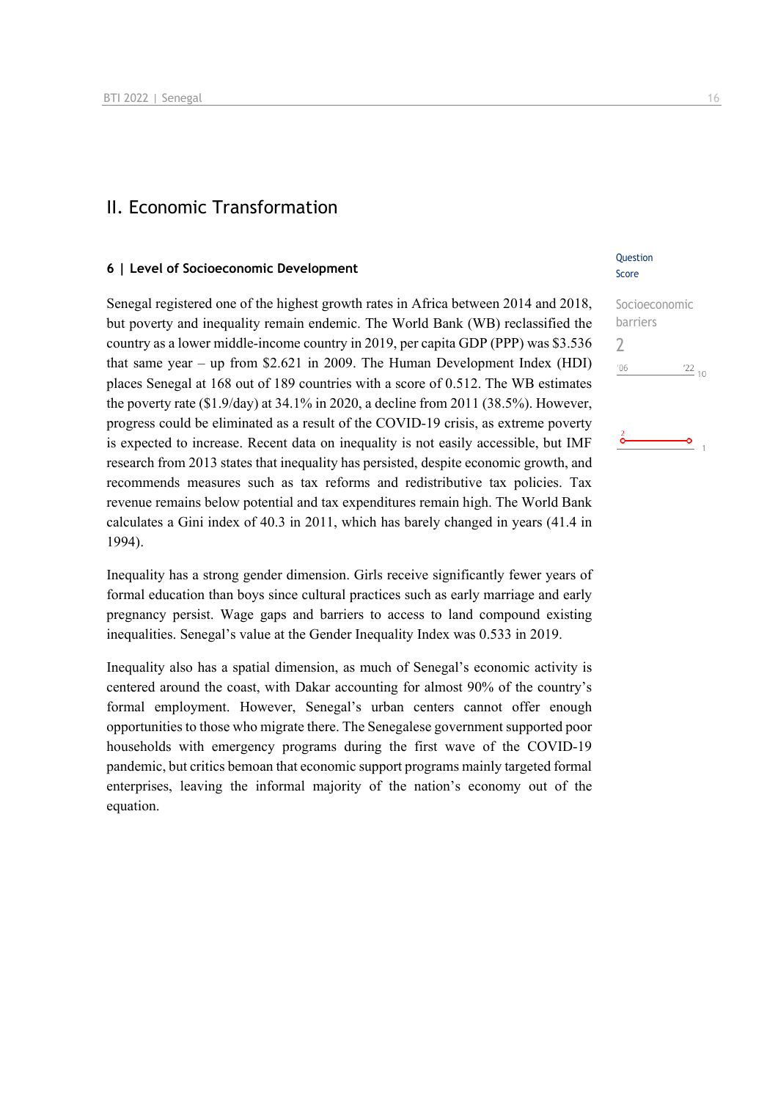### II. Economic Transformation

#### **6 | Level of Socioeconomic Development**

Senegal registered one of the highest growth rates in Africa between 2014 and 2018, but poverty and inequality remain endemic. The World Bank (WB) reclassified the country as a lower middle-income country in 2019, per capita GDP (PPP) was \$3.536 that same year – up from \$2.621 in 2009. The Human Development Index (HDI) places Senegal at 168 out of 189 countries with a score of 0.512. The WB estimates the poverty rate (\$1.9/day) at 34.1% in 2020, a decline from 2011 (38.5%). However, progress could be eliminated as a result of the COVID-19 crisis, as extreme poverty is expected to increase. Recent data on inequality is not easily accessible, but IMF research from 2013 states that inequality has persisted, despite economic growth, and recommends measures such as tax reforms and redistributive tax policies. Tax revenue remains below potential and tax expenditures remain high. The World Bank calculates a Gini index of 40.3 in 2011, which has barely changed in years (41.4 in 1994).

Inequality has a strong gender dimension. Girls receive significantly fewer years of formal education than boys since cultural practices such as early marriage and early pregnancy persist. Wage gaps and barriers to access to land compound existing inequalities. Senegal's value at the Gender Inequality Index was 0.533 in 2019.

Inequality also has a spatial dimension, as much of Senegal's economic activity is centered around the coast, with Dakar accounting for almost 90% of the country's formal employment. However, Senegal's urban centers cannot offer enough opportunities to those who migrate there. The Senegalese government supported poor households with emergency programs during the first wave of the COVID-19 pandemic, but critics bemoan that economic support programs mainly targeted formal enterprises, leaving the informal majority of the nation's economy out of the equation.

#### **Ouestion** Score

Socioeconomic barriers  $\overline{\phantom{0}}$  $^{\prime}06$  $\frac{22}{10}$ 

۰Ó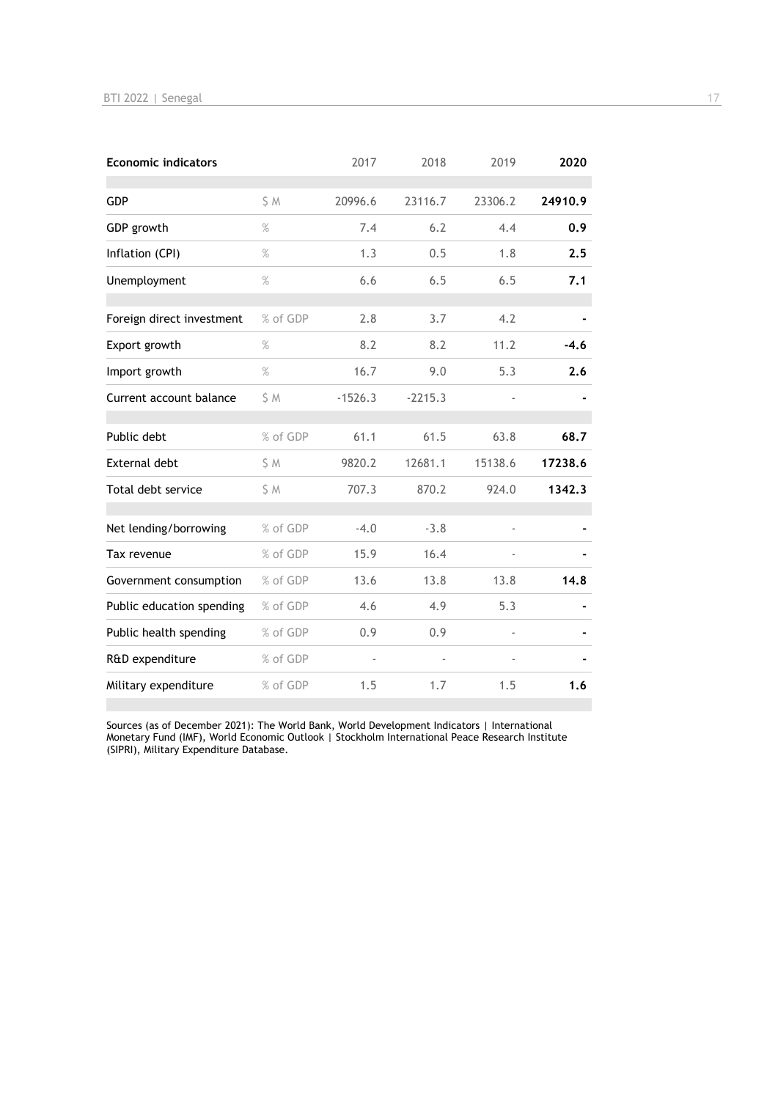| <b>Economic indicators</b> |          | 2017      | 2018      | 2019    | 2020    |
|----------------------------|----------|-----------|-----------|---------|---------|
| GDP                        | S M      | 20996.6   | 23116.7   | 23306.2 | 24910.9 |
| GDP growth                 | $\%$     | 7.4       | 6.2       | 4.4     | 0.9     |
| Inflation (CPI)            | $\%$     | 1.3       | 0.5       | 1.8     | 2.5     |
| Unemployment               | $\%$     | 6.6       | 6.5       | 6.5     | 7.1     |
| Foreign direct investment  | % of GDP | 2.8       | 3.7       | 4.2     |         |
| Export growth              | $\%$     | 8.2       | 8.2       | 11.2    | $-4.6$  |
| Import growth              | $\%$     | 16.7      | 9.0       | 5.3     | 2.6     |
| Current account balance    | \$ M     | $-1526.3$ | $-2215.3$ |         |         |
| Public debt                | % of GDP | 61.1      | 61.5      | 63.8    | 68.7    |
| <b>External debt</b>       | \$ M     | 9820.2    | 12681.1   | 15138.6 | 17238.6 |
| Total debt service         | S M      | 707.3     | 870.2     | 924.0   | 1342.3  |
| Net lending/borrowing      | % of GDP | $-4.0$    | $-3.8$    |         |         |
| Tax revenue                | % of GDP | 15.9      | 16.4      |         |         |
| Government consumption     | % of GDP | 13.6      | 13.8      | 13.8    | 14.8    |
| Public education spending  | % of GDP | 4.6       | 4.9       | 5.3     |         |
| Public health spending     | % of GDP | 0.9       | 0.9       |         |         |
| R&D expenditure            | % of GDP |           |           |         |         |
| Military expenditure       | % of GDP | 1.5       | 1.7       | 1.5     | 1.6     |

Sources (as of December 2021): The World Bank, World Development Indicators | International Monetary Fund (IMF), World Economic Outlook | Stockholm International Peace Research Institute (SIPRI), Military Expenditure Database.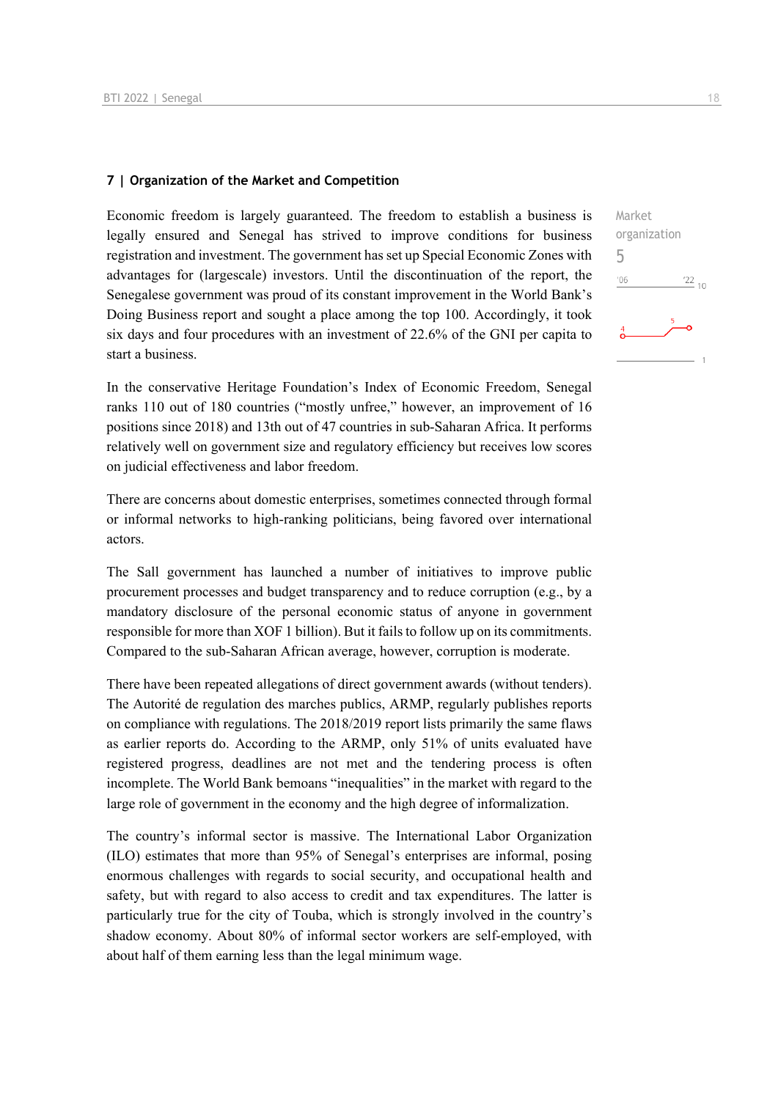#### **7 | Organization of the Market and Competition**

Economic freedom is largely guaranteed. The freedom to establish a business is legally ensured and Senegal has strived to improve conditions for business registration and investment. The government has set up Special Economic Zones with advantages for (largescale) investors. Until the discontinuation of the report, the Senegalese government was proud of its constant improvement in the World Bank's Doing Business report and sought a place among the top 100. Accordingly, it took six days and four procedures with an investment of 22.6% of the GNI per capita to start a business.

In the conservative Heritage Foundation's Index of Economic Freedom, Senegal ranks 110 out of 180 countries ("mostly unfree," however, an improvement of 16 positions since 2018) and 13th out of 47 countries in sub-Saharan Africa. It performs relatively well on government size and regulatory efficiency but receives low scores on judicial effectiveness and labor freedom.

There are concerns about domestic enterprises, sometimes connected through formal or informal networks to high-ranking politicians, being favored over international actors.

The Sall government has launched a number of initiatives to improve public procurement processes and budget transparency and to reduce corruption (e.g., by a mandatory disclosure of the personal economic status of anyone in government responsible for more than XOF 1 billion). But it fails to follow up on its commitments. Compared to the sub-Saharan African average, however, corruption is moderate.

There have been repeated allegations of direct government awards (without tenders). The Autorité de regulation des marches publics, ARMP, regularly publishes reports on compliance with regulations. The 2018/2019 report lists primarily the same flaws as earlier reports do. According to the ARMP, only 51% of units evaluated have registered progress, deadlines are not met and the tendering process is often incomplete. The World Bank bemoans "inequalities" in the market with regard to the large role of government in the economy and the high degree of informalization.

The country's informal sector is massive. The International Labor Organization (ILO) estimates that more than 95% of Senegal's enterprises are informal, posing enormous challenges with regards to social security, and occupational health and safety, but with regard to also access to credit and tax expenditures. The latter is particularly true for the city of Touba, which is strongly involved in the country's shadow economy. About 80% of informal sector workers are self-employed, with about half of them earning less than the legal minimum wage.

Market organization 5 $06'$  $\frac{22}{10}$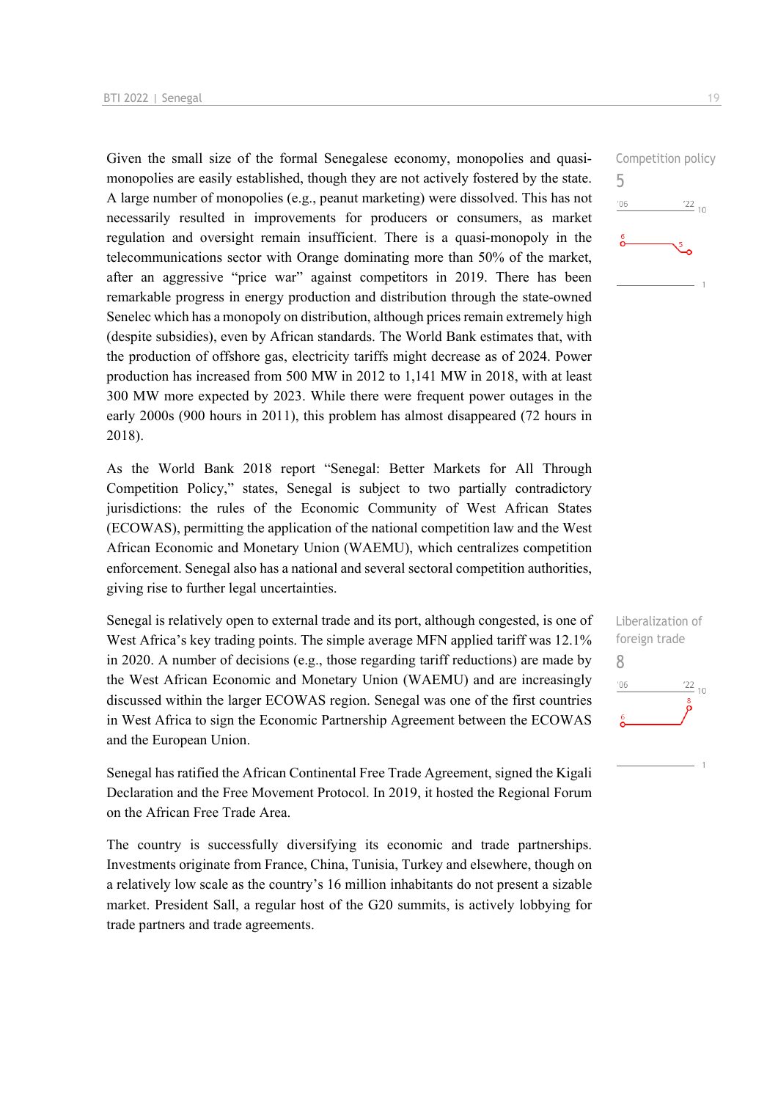Given the small size of the formal Senegalese economy, monopolies and quasimonopolies are easily established, though they are not actively fostered by the state. A large number of monopolies (e.g., peanut marketing) were dissolved. This has not necessarily resulted in improvements for producers or consumers, as market regulation and oversight remain insufficient. There is a quasi-monopoly in the telecommunications sector with Orange dominating more than 50% of the market, after an aggressive "price war" against competitors in 2019. There has been remarkable progress in energy production and distribution through the state-owned Senelec which has a monopoly on distribution, although prices remain extremely high (despite subsidies), even by African standards. The World Bank estimates that, with the production of offshore gas, electricity tariffs might decrease as of 2024. Power production has increased from 500 MW in 2012 to 1,141 MW in 2018, with at least 300 MW more expected by 2023. While there were frequent power outages in the early 2000s (900 hours in 2011), this problem has almost disappeared (72 hours in 2018).

As the World Bank 2018 report "Senegal: Better Markets for All Through Competition Policy," states, Senegal is subject to two partially contradictory jurisdictions: the rules of the Economic Community of West African States (ECOWAS), permitting the application of the national competition law and the West African Economic and Monetary Union (WAEMU), which centralizes competition enforcement. Senegal also has a national and several sectoral competition authorities, giving rise to further legal uncertainties.

Senegal is relatively open to external trade and its port, although congested, is one of West Africa's key trading points. The simple average MFN applied tariff was 12.1% in 2020. A number of decisions (e.g., those regarding tariff reductions) are made by the West African Economic and Monetary Union (WAEMU) and are increasingly discussed within the larger ECOWAS region. Senegal was one of the first countries in West Africa to sign the Economic Partnership Agreement between the ECOWAS and the European Union.

Senegal has ratified the African Continental Free Trade Agreement, signed the Kigali Declaration and the Free Movement Protocol. In 2019, it hosted the Regional Forum on the African Free Trade Area.

The country is successfully diversifying its economic and trade partnerships. Investments originate from France, China, Tunisia, Turkey and elsewhere, though on a relatively low scale as the country's 16 million inhabitants do not present a sizable market. President Sall, a regular host of the G20 summits, is actively lobbying for trade partners and trade agreements.

Competition policy 5  $\frac{22}{10}$  $06'$ 

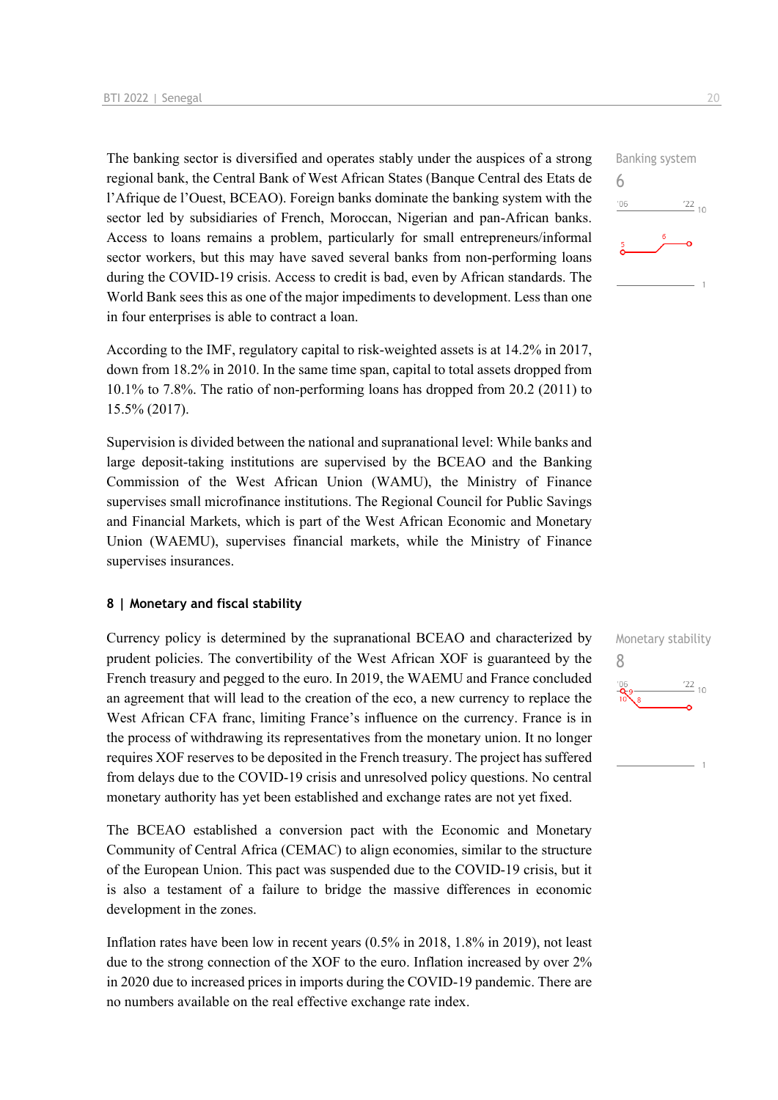The banking sector is diversified and operates stably under the auspices of a strong regional bank, the Central Bank of West African States (Banque Central des Etats de l'Afrique de l'Ouest, BCEAO). Foreign banks dominate the banking system with the sector led by subsidiaries of French, Moroccan, Nigerian and pan-African banks. Access to loans remains a problem, particularly for small entrepreneurs/informal sector workers, but this may have saved several banks from non-performing loans during the COVID-19 crisis. Access to credit is bad, even by African standards. The World Bank sees this as one of the major impediments to development. Less than one in four enterprises is able to contract a loan.

According to the IMF, regulatory capital to risk-weighted assets is at 14.2% in 2017, down from 18.2% in 2010. In the same time span, capital to total assets dropped from 10.1% to 7.8%. The ratio of non-performing loans has dropped from 20.2 (2011) to 15.5% (2017).

Supervision is divided between the national and supranational level: While banks and large deposit-taking institutions are supervised by the BCEAO and the Banking Commission of the West African Union (WAMU), the Ministry of Finance supervises small microfinance institutions. The Regional Council for Public Savings and Financial Markets, which is part of the West African Economic and Monetary Union (WAEMU), supervises financial markets, while the Ministry of Finance supervises insurances.

#### **8 | Monetary and fiscal stability**

Currency policy is determined by the supranational BCEAO and characterized by prudent policies. The convertibility of the West African XOF is guaranteed by the French treasury and pegged to the euro. In 2019, the WAEMU and France concluded an agreement that will lead to the creation of the eco, a new currency to replace the West African CFA franc, limiting France's influence on the currency. France is in the process of withdrawing its representatives from the monetary union. It no longer requires XOF reserves to be deposited in the French treasury. The project has suffered from delays due to the COVID-19 crisis and unresolved policy questions. No central monetary authority has yet been established and exchange rates are not yet fixed.

The BCEAO established a conversion pact with the Economic and Monetary Community of Central Africa (CEMAC) to align economies, similar to the structure of the European Union. This pact was suspended due to the COVID-19 crisis, but it is also a testament of a failure to bridge the massive differences in economic development in the zones.

Inflation rates have been low in recent years (0.5% in 2018, 1.8% in 2019), not least due to the strong connection of the XOF to the euro. Inflation increased by over 2% in 2020 due to increased prices in imports during the COVID-19 pandemic. There are no numbers available on the real effective exchange rate index.

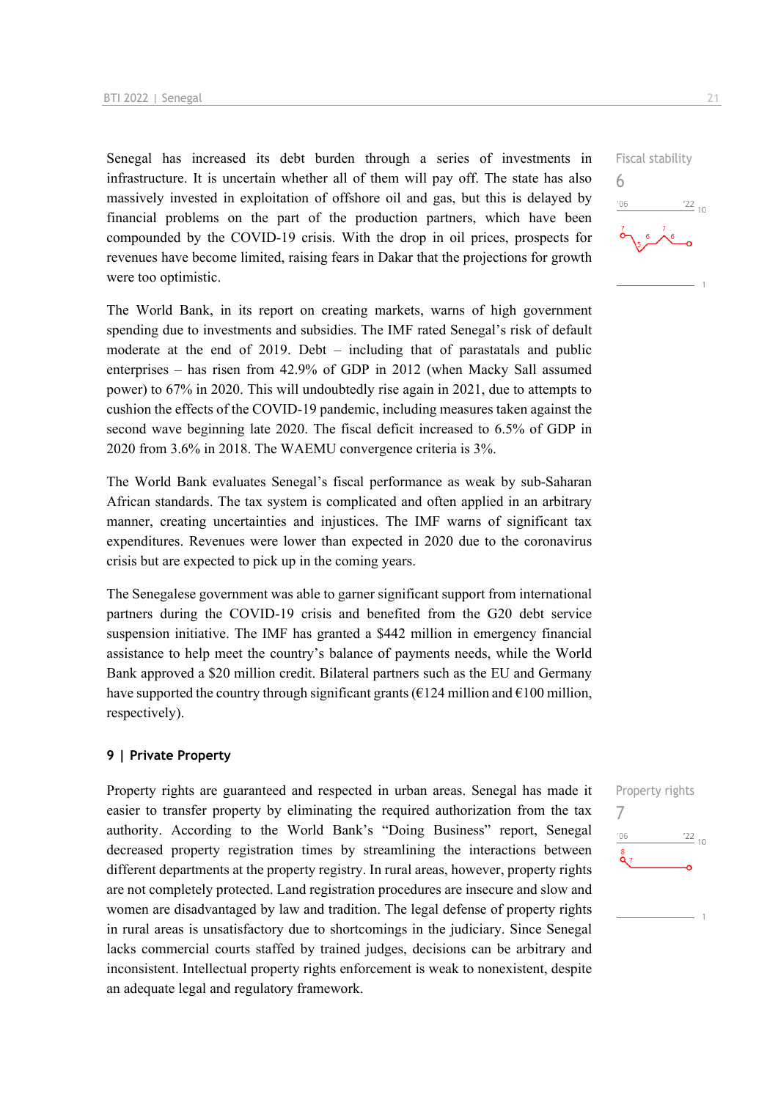Senegal has increased its debt burden through a series of investments in infrastructure. It is uncertain whether all of them will pay off. The state has also massively invested in exploitation of offshore oil and gas, but this is delayed by financial problems on the part of the production partners, which have been compounded by the COVID-19 crisis. With the drop in oil prices, prospects for revenues have become limited, raising fears in Dakar that the projections for growth were too optimistic.

The World Bank, in its report on creating markets, warns of high government spending due to investments and subsidies. The IMF rated Senegal's risk of default moderate at the end of 2019. Debt – including that of parastatals and public enterprises – has risen from 42.9% of GDP in 2012 (when Macky Sall assumed power) to 67% in 2020. This will undoubtedly rise again in 2021, due to attempts to cushion the effects of the COVID-19 pandemic, including measures taken against the second wave beginning late 2020. The fiscal deficit increased to 6.5% of GDP in 2020 from 3.6% in 2018. The WAEMU convergence criteria is 3%.

The World Bank evaluates Senegal's fiscal performance as weak by sub-Saharan African standards. The tax system is complicated and often applied in an arbitrary manner, creating uncertainties and injustices. The IMF warns of significant tax expenditures. Revenues were lower than expected in 2020 due to the coronavirus crisis but are expected to pick up in the coming years.

The Senegalese government was able to garner significant support from international partners during the COVID-19 crisis and benefited from the G20 debt service suspension initiative. The IMF has granted a \$442 million in emergency financial assistance to help meet the country's balance of payments needs, while the World Bank approved a \$20 million credit. Bilateral partners such as the EU and Germany have supported the country through significant grants ( $\epsilon$ 124 million and  $\epsilon$ 100 million, respectively).

#### **9 | Private Property**

Property rights are guaranteed and respected in urban areas. Senegal has made it easier to transfer property by eliminating the required authorization from the tax authority. According to the World Bank's "Doing Business" report, Senegal decreased property registration times by streamlining the interactions between different departments at the property registry. In rural areas, however, property rights are not completely protected. Land registration procedures are insecure and slow and women are disadvantaged by law and tradition. The legal defense of property rights in rural areas is unsatisfactory due to shortcomings in the judiciary. Since Senegal lacks commercial courts staffed by trained judges, decisions can be arbitrary and inconsistent. Intellectual property rights enforcement is weak to nonexistent, despite an adequate legal and regulatory framework.



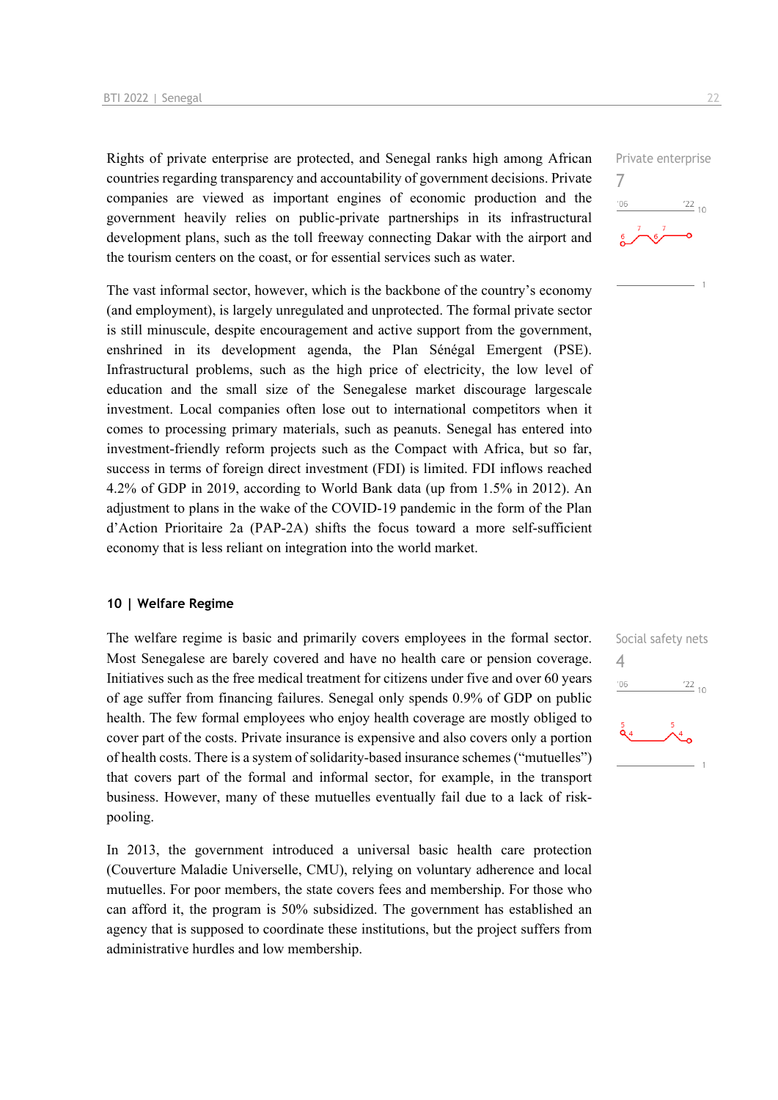Rights of private enterprise are protected, and Senegal ranks high among African countries regarding transparency and accountability of government decisions. Private companies are viewed as important engines of economic production and the government heavily relies on public-private partnerships in its infrastructural development plans, such as the toll freeway connecting Dakar with the airport and the tourism centers on the coast, or for essential services such as water.

The vast informal sector, however, which is the backbone of the country's economy (and employment), is largely unregulated and unprotected. The formal private sector is still minuscule, despite encouragement and active support from the government, enshrined in its development agenda, the Plan Sénégal Emergent (PSE). Infrastructural problems, such as the high price of electricity, the low level of education and the small size of the Senegalese market discourage largescale investment. Local companies often lose out to international competitors when it comes to processing primary materials, such as peanuts. Senegal has entered into investment-friendly reform projects such as the Compact with Africa, but so far, success in terms of foreign direct investment (FDI) is limited. FDI inflows reached 4.2% of GDP in 2019, according to World Bank data (up from 1.5% in 2012). An adjustment to plans in the wake of the COVID-19 pandemic in the form of the Plan d'Action Prioritaire 2a (PAP-2A) shifts the focus toward a more self-sufficient economy that is less reliant on integration into the world market.

#### **10 | Welfare Regime**

The welfare regime is basic and primarily covers employees in the formal sector. Most Senegalese are barely covered and have no health care or pension coverage. Initiatives such as the free medical treatment for citizens under five and over 60 years of age suffer from financing failures. Senegal only spends 0.9% of GDP on public health. The few formal employees who enjoy health coverage are mostly obliged to cover part of the costs. Private insurance is expensive and also covers only a portion of health costs. There is a system of solidarity-based insurance schemes ("mutuelles") that covers part of the formal and informal sector, for example, in the transport business. However, many of these mutuelles eventually fail due to a lack of riskpooling.

In 2013, the government introduced a universal basic health care protection (Couverture Maladie Universelle, CMU), relying on voluntary adherence and local mutuelles. For poor members, the state covers fees and membership. For those who can afford it, the program is 50% subsidized. The government has established an agency that is supposed to coordinate these institutions, but the project suffers from administrative hurdles and low membership.



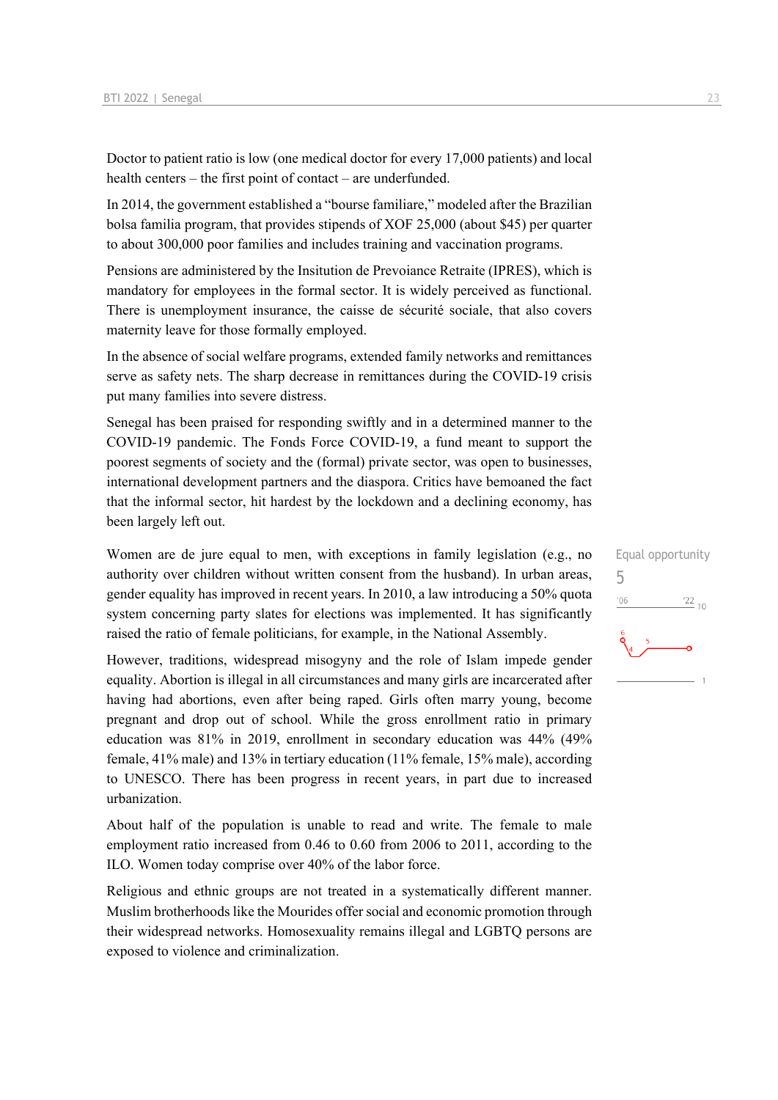Doctor to patient ratio is low (one medical doctor for every 17,000 patients) and local health centers – the first point of contact – are underfunded.

In 2014, the government established a "bourse familiare," modeled after the Brazilian bolsa familia program, that provides stipends of XOF 25,000 (about \$45) per quarter to about 300,000 poor families and includes training and vaccination programs.

Pensions are administered by the Insitution de Prevoiance Retraite (IPRES), which is mandatory for employees in the formal sector. It is widely perceived as functional. There is unemployment insurance, the caisse de sécurité sociale, that also covers maternity leave for those formally employed.

In the absence of social welfare programs, extended family networks and remittances serve as safety nets. The sharp decrease in remittances during the COVID-19 crisis put many families into severe distress.

Senegal has been praised for responding swiftly and in a determined manner to the COVID-19 pandemic. The Fonds Force COVID-19, a fund meant to support the poorest segments of society and the (formal) private sector, was open to businesses, international development partners and the diaspora. Critics have bemoaned the fact that the informal sector, hit hardest by the lockdown and a declining economy, has been largely left out.

Women are de jure equal to men, with exceptions in family legislation (e.g., no authority over children without written consent from the husband). In urban areas, gender equality has improved in recent years. In 2010, a law introducing a 50% quota system concerning party slates for elections was implemented. It has significantly raised the ratio of female politicians, for example, in the National Assembly.

However, traditions, widespread misogyny and the role of Islam impede gender equality. Abortion is illegal in all circumstances and many girls are incarcerated after having had abortions, even after being raped. Girls often marry young, become pregnant and drop out of school. While the gross enrollment ratio in primary education was 81% in 2019, enrollment in secondary education was 44% (49% female, 41% male) and 13% in tertiary education (11% female, 15% male), according to UNESCO. There has been progress in recent years, in part due to increased urbanization.

About half of the population is unable to read and write. The female to male employment ratio increased from 0.46 to 0.60 from 2006 to 2011, according to the ILO. Women today comprise over 40% of the labor force.

Religious and ethnic groups are not treated in a systematically different manner. Muslim brotherhoods like the Mourides offer social and economic promotion through their widespread networks. Homosexuality remains illegal and LGBTQ persons are exposed to violence and criminalization.

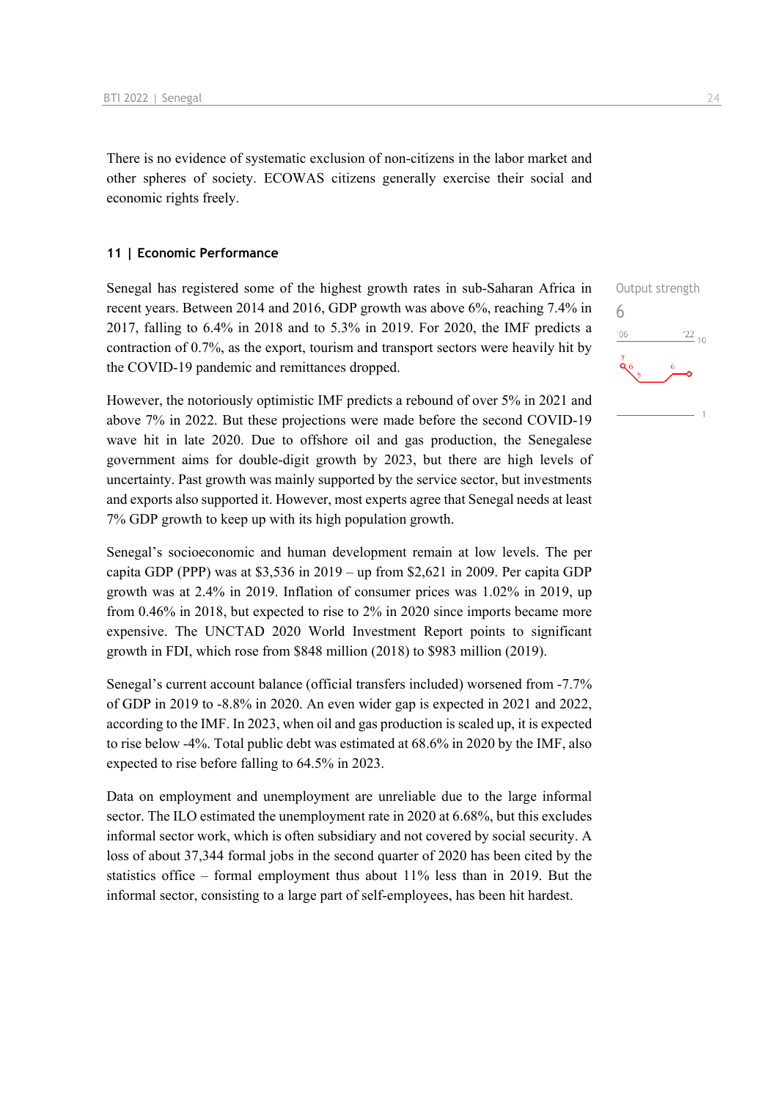There is no evidence of systematic exclusion of non-citizens in the labor market and other spheres of society. ECOWAS citizens generally exercise their social and economic rights freely.

#### **11 | Economic Performance**

Senegal has registered some of the highest growth rates in sub-Saharan Africa in recent years. Between 2014 and 2016, GDP growth was above 6%, reaching 7.4% in 2017, falling to 6.4% in 2018 and to 5.3% in 2019. For 2020, the IMF predicts a contraction of 0.7%, as the export, tourism and transport sectors were heavily hit by the COVID-19 pandemic and remittances dropped.

However, the notoriously optimistic IMF predicts a rebound of over 5% in 2021 and above 7% in 2022. But these projections were made before the second COVID-19 wave hit in late 2020. Due to offshore oil and gas production, the Senegalese government aims for double-digit growth by 2023, but there are high levels of uncertainty. Past growth was mainly supported by the service sector, but investments and exports also supported it. However, most experts agree that Senegal needs at least 7% GDP growth to keep up with its high population growth.

Senegal's socioeconomic and human development remain at low levels. The per capita GDP (PPP) was at \$3,536 in 2019 – up from \$2,621 in 2009. Per capita GDP growth was at 2.4% in 2019. Inflation of consumer prices was 1.02% in 2019, up from 0.46% in 2018, but expected to rise to 2% in 2020 since imports became more expensive. The UNCTAD 2020 World Investment Report points to significant growth in FDI, which rose from \$848 million (2018) to \$983 million (2019).

Senegal's current account balance (official transfers included) worsened from -7.7% of GDP in 2019 to -8.8% in 2020. An even wider gap is expected in 2021 and 2022, according to the IMF. In 2023, when oil and gas production is scaled up, it is expected to rise below -4%. Total public debt was estimated at 68.6% in 2020 by the IMF, also expected to rise before falling to 64.5% in 2023.

Data on employment and unemployment are unreliable due to the large informal sector. The ILO estimated the unemployment rate in 2020 at 6.68%, but this excludes informal sector work, which is often subsidiary and not covered by social security. A loss of about 37,344 formal jobs in the second quarter of 2020 has been cited by the statistics office – formal employment thus about 11% less than in 2019. But the informal sector, consisting to a large part of self-employees, has been hit hardest.

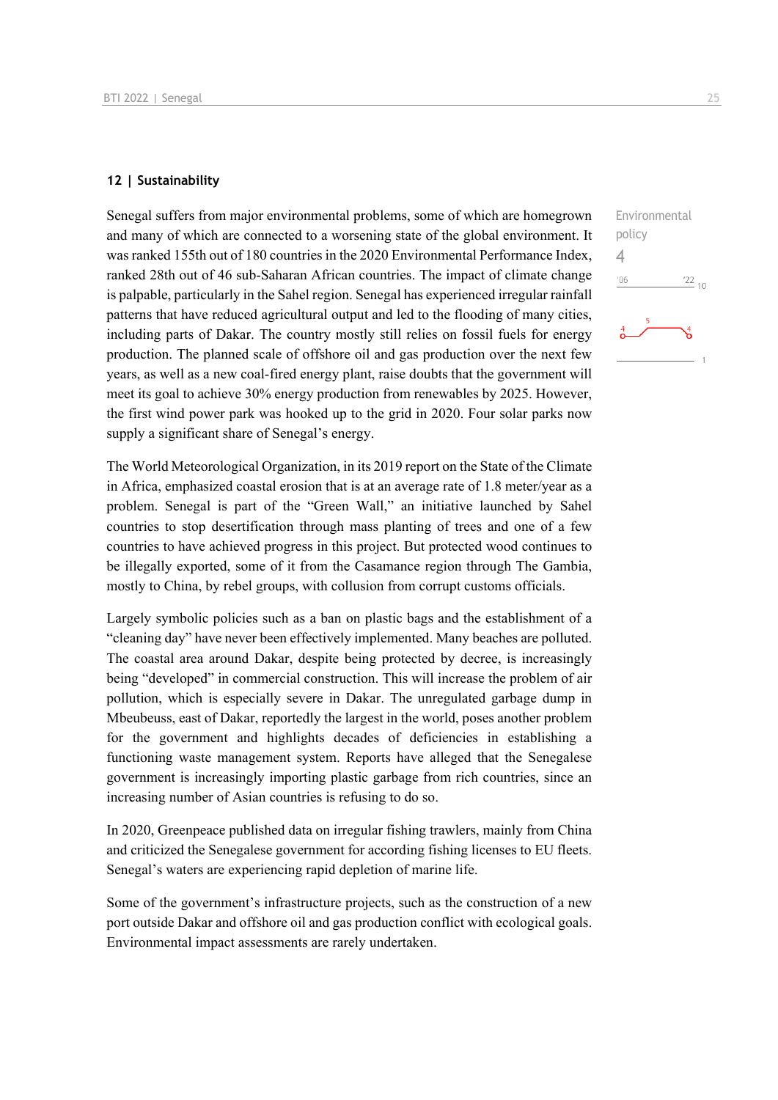#### **12 | Sustainability**

Senegal suffers from major environmental problems, some of which are homegrown and many of which are connected to a worsening state of the global environment. It was ranked 155th out of 180 countries in the 2020 Environmental Performance Index, ranked 28th out of 46 sub-Saharan African countries. The impact of climate change is palpable, particularly in the Sahel region. Senegal has experienced irregular rainfall patterns that have reduced agricultural output and led to the flooding of many cities, including parts of Dakar. The country mostly still relies on fossil fuels for energy production. The planned scale of offshore oil and gas production over the next few years, as well as a new coal-fired energy plant, raise doubts that the government will meet its goal to achieve 30% energy production from renewables by 2025. However, the first wind power park was hooked up to the grid in 2020. Four solar parks now supply a significant share of Senegal's energy.

The World Meteorological Organization, in its 2019 report on the State of the Climate in Africa, emphasized coastal erosion that is at an average rate of 1.8 meter/year as a problem. Senegal is part of the "Green Wall," an initiative launched by Sahel countries to stop desertification through mass planting of trees and one of a few countries to have achieved progress in this project. But protected wood continues to be illegally exported, some of it from the Casamance region through The Gambia, mostly to China, by rebel groups, with collusion from corrupt customs officials.

Largely symbolic policies such as a ban on plastic bags and the establishment of a "cleaning day" have never been effectively implemented. Many beaches are polluted. The coastal area around Dakar, despite being protected by decree, is increasingly being "developed" in commercial construction. This will increase the problem of air pollution, which is especially severe in Dakar. The unregulated garbage dump in Mbeubeuss, east of Dakar, reportedly the largest in the world, poses another problem for the government and highlights decades of deficiencies in establishing a functioning waste management system. Reports have alleged that the Senegalese government is increasingly importing plastic garbage from rich countries, since an increasing number of Asian countries is refusing to do so.

In 2020, Greenpeace published data on irregular fishing trawlers, mainly from China and criticized the Senegalese government for according fishing licenses to EU fleets. Senegal's waters are experiencing rapid depletion of marine life.

Some of the government's infrastructure projects, such as the construction of a new port outside Dakar and offshore oil and gas production conflict with ecological goals. Environmental impact assessments are rarely undertaken.

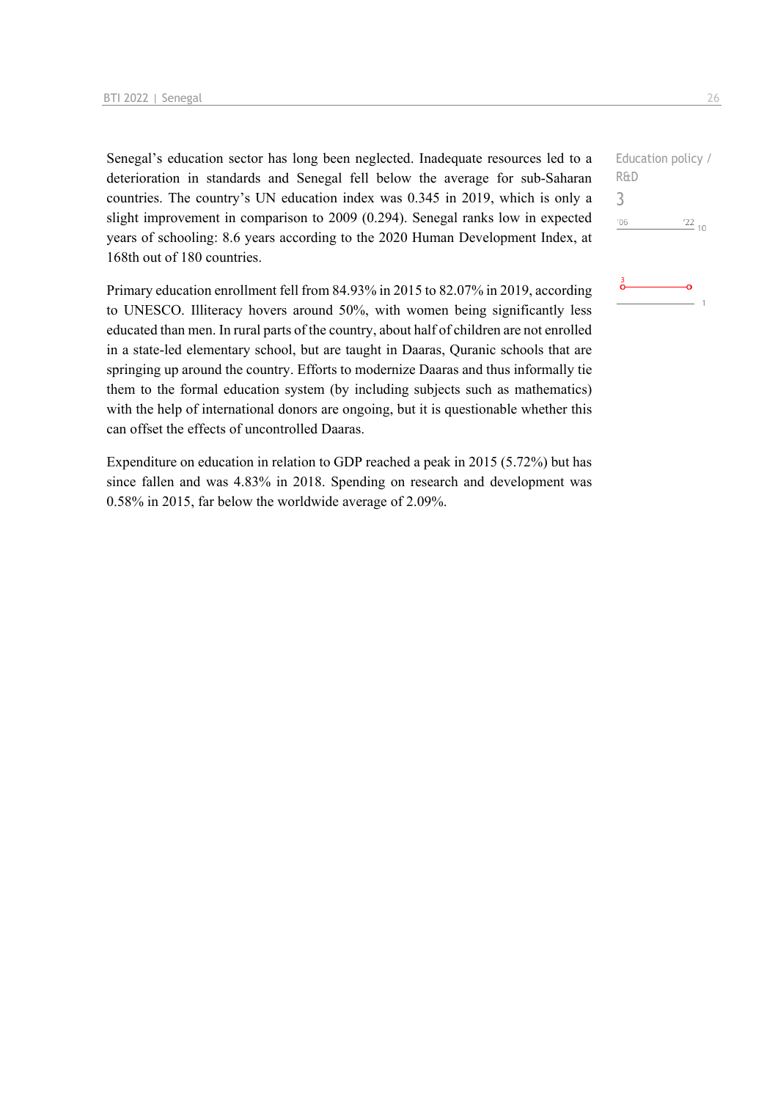Senegal's education sector has long been neglected. Inadequate resources led to a deterioration in standards and Senegal fell below the average for sub-Saharan countries. The country's UN education index was 0.345 in 2019, which is only a slight improvement in comparison to 2009 (0.294). Senegal ranks low in expected years of schooling: 8.6 years according to the 2020 Human Development Index, at 168th out of 180 countries.

Primary education enrollment fell from 84.93% in 2015 to 82.07% in 2019, according to UNESCO. Illiteracy hovers around 50%, with women being significantly less educated than men. In rural parts of the country, about half of children are not enrolled in a state-led elementary school, but are taught in Daaras, Quranic schools that are springing up around the country. Efforts to modernize Daaras and thus informally tie them to the formal education system (by including subjects such as mathematics) with the help of international donors are ongoing, but it is questionable whether this can offset the effects of uncontrolled Daaras.

Expenditure on education in relation to GDP reached a peak in 2015 (5.72%) but has since fallen and was 4.83% in 2018. Spending on research and development was 0.58% in 2015, far below the worldwide average of 2.09%.

```
Education policy / 
R&D
3^{\prime}06\frac{22}{10}
```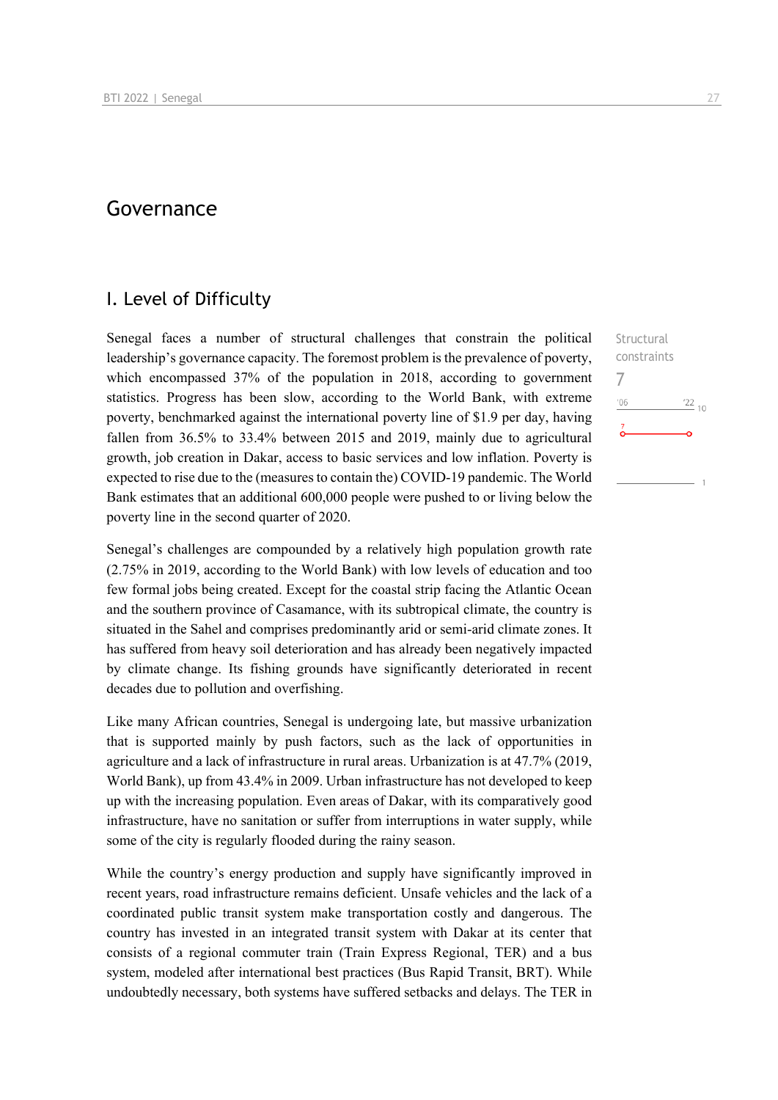## Governance

## I. Level of Difficulty

Senegal faces a number of structural challenges that constrain the political leadership's governance capacity. The foremost problem is the prevalence of poverty, which encompassed 37% of the population in 2018, according to government statistics. Progress has been slow, according to the World Bank, with extreme poverty, benchmarked against the international poverty line of \$1.9 per day, having fallen from 36.5% to 33.4% between 2015 and 2019, mainly due to agricultural growth, job creation in Dakar, access to basic services and low inflation. Poverty is expected to rise due to the (measures to contain the) COVID-19 pandemic. The World Bank estimates that an additional 600,000 people were pushed to or living below the poverty line in the second quarter of 2020.

Senegal's challenges are compounded by a relatively high population growth rate (2.75% in 2019, according to the World Bank) with low levels of education and too few formal jobs being created. Except for the coastal strip facing the Atlantic Ocean and the southern province of Casamance, with its subtropical climate, the country is situated in the Sahel and comprises predominantly arid or semi-arid climate zones. It has suffered from heavy soil deterioration and has already been negatively impacted by climate change. Its fishing grounds have significantly deteriorated in recent decades due to pollution and overfishing.

Like many African countries, Senegal is undergoing late, but massive urbanization that is supported mainly by push factors, such as the lack of opportunities in agriculture and a lack of infrastructure in rural areas. Urbanization is at 47.7% (2019, World Bank), up from 43.4% in 2009. Urban infrastructure has not developed to keep up with the increasing population. Even areas of Dakar, with its comparatively good infrastructure, have no sanitation or suffer from interruptions in water supply, while some of the city is regularly flooded during the rainy season.

While the country's energy production and supply have significantly improved in recent years, road infrastructure remains deficient. Unsafe vehicles and the lack of a coordinated public transit system make transportation costly and dangerous. The country has invested in an integrated transit system with Dakar at its center that consists of a regional commuter train (Train Express Regional, TER) and a bus system, modeled after international best practices (Bus Rapid Transit, BRT). While undoubtedly necessary, both systems have suffered setbacks and delays. The TER in

Structural constraints

 $^{22}$  10

7 $n<sub>6</sub>$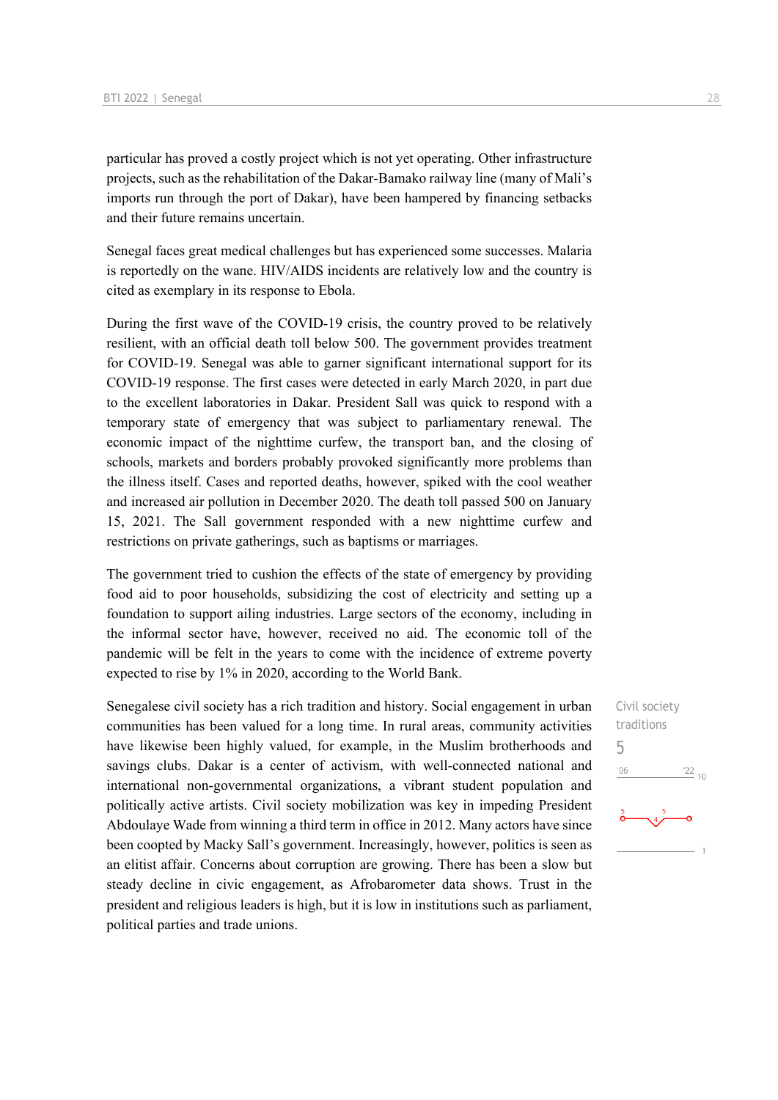particular has proved a costly project which is not yet operating. Other infrastructure projects, such as the rehabilitation of the Dakar-Bamako railway line (many of Mali's imports run through the port of Dakar), have been hampered by financing setbacks and their future remains uncertain.

Senegal faces great medical challenges but has experienced some successes. Malaria is reportedly on the wane. HIV/AIDS incidents are relatively low and the country is cited as exemplary in its response to Ebola.

During the first wave of the COVID-19 crisis, the country proved to be relatively resilient, with an official death toll below 500. The government provides treatment for COVID-19. Senegal was able to garner significant international support for its COVID-19 response. The first cases were detected in early March 2020, in part due to the excellent laboratories in Dakar. President Sall was quick to respond with a temporary state of emergency that was subject to parliamentary renewal. The economic impact of the nighttime curfew, the transport ban, and the closing of schools, markets and borders probably provoked significantly more problems than the illness itself. Cases and reported deaths, however, spiked with the cool weather and increased air pollution in December 2020. The death toll passed 500 on January 15, 2021. The Sall government responded with a new nighttime curfew and restrictions on private gatherings, such as baptisms or marriages.

The government tried to cushion the effects of the state of emergency by providing food aid to poor households, subsidizing the cost of electricity and setting up a foundation to support ailing industries. Large sectors of the economy, including in the informal sector have, however, received no aid. The economic toll of the pandemic will be felt in the years to come with the incidence of extreme poverty expected to rise by 1% in 2020, according to the World Bank.

Senegalese civil society has a rich tradition and history. Social engagement in urban communities has been valued for a long time. In rural areas, community activities have likewise been highly valued, for example, in the Muslim brotherhoods and savings clubs. Dakar is a center of activism, with well-connected national and international non-governmental organizations, a vibrant student population and politically active artists. Civil society mobilization was key in impeding President Abdoulaye Wade from winning a third term in office in 2012. Many actors have since been coopted by Macky Sall's government. Increasingly, however, politics is seen as an elitist affair. Concerns about corruption are growing. There has been a slow but steady decline in civic engagement, as Afrobarometer data shows. Trust in the president and religious leaders is high, but it is low in institutions such as parliament, political parties and trade unions.

Civil society traditions 5 $\frac{22}{10}$  $106$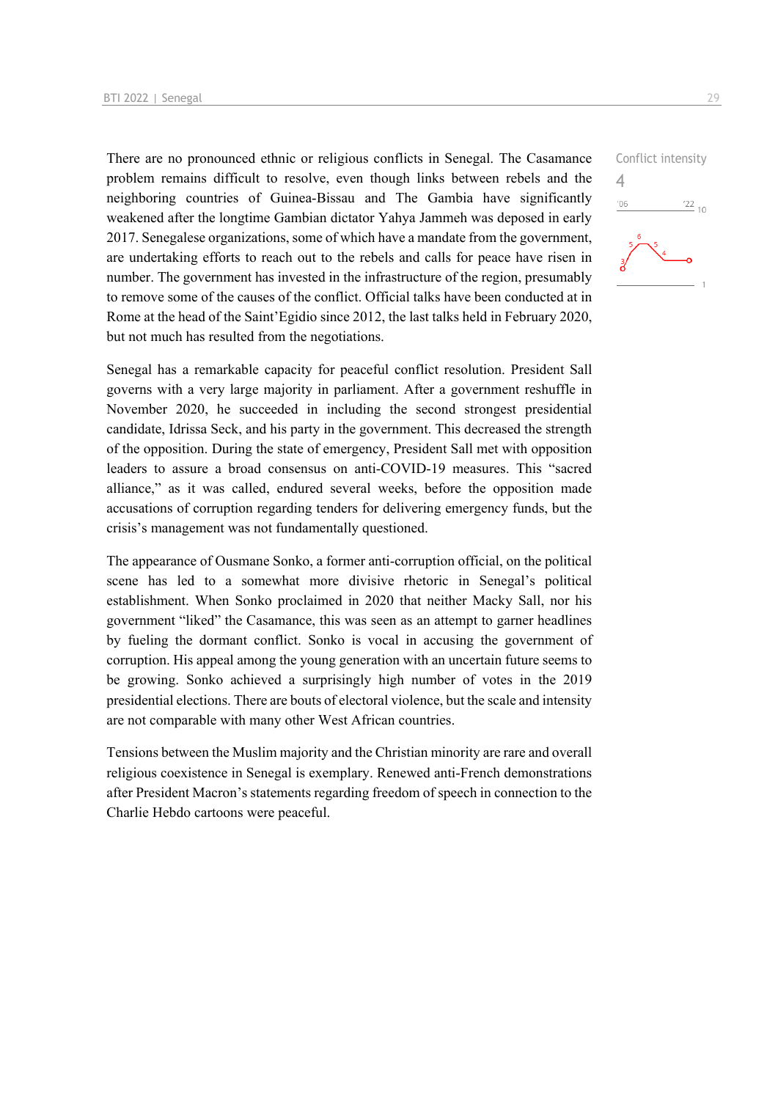There are no pronounced ethnic or religious conflicts in Senegal. The Casamance problem remains difficult to resolve, even though links between rebels and the neighboring countries of Guinea-Bissau and The Gambia have significantly weakened after the longtime Gambian dictator Yahya Jammeh was deposed in early 2017. Senegalese organizations, some of which have a mandate from the government, are undertaking efforts to reach out to the rebels and calls for peace have risen in number. The government has invested in the infrastructure of the region, presumably to remove some of the causes of the conflict. Official talks have been conducted at in Rome at the head of the Saint'Egidio since 2012, the last talks held in February 2020, but not much has resulted from the negotiations.

Senegal has a remarkable capacity for peaceful conflict resolution. President Sall governs with a very large majority in parliament. After a government reshuffle in November 2020, he succeeded in including the second strongest presidential candidate, Idrissa Seck, and his party in the government. This decreased the strength of the opposition. During the state of emergency, President Sall met with opposition leaders to assure a broad consensus on anti-COVID-19 measures. This "sacred alliance," as it was called, endured several weeks, before the opposition made accusations of corruption regarding tenders for delivering emergency funds, but the crisis's management was not fundamentally questioned.

The appearance of Ousmane Sonko, a former anti-corruption official, on the political scene has led to a somewhat more divisive rhetoric in Senegal's political establishment. When Sonko proclaimed in 2020 that neither Macky Sall, nor his government "liked" the Casamance, this was seen as an attempt to garner headlines by fueling the dormant conflict. Sonko is vocal in accusing the government of corruption. His appeal among the young generation with an uncertain future seems to be growing. Sonko achieved a surprisingly high number of votes in the 2019 presidential elections. There are bouts of electoral violence, but the scale and intensity are not comparable with many other West African countries.

Tensions between the Muslim majority and the Christian minority are rare and overall religious coexistence in Senegal is exemplary. Renewed anti-French demonstrations after President Macron's statements regarding freedom of speech in connection to the Charlie Hebdo cartoons were peaceful.

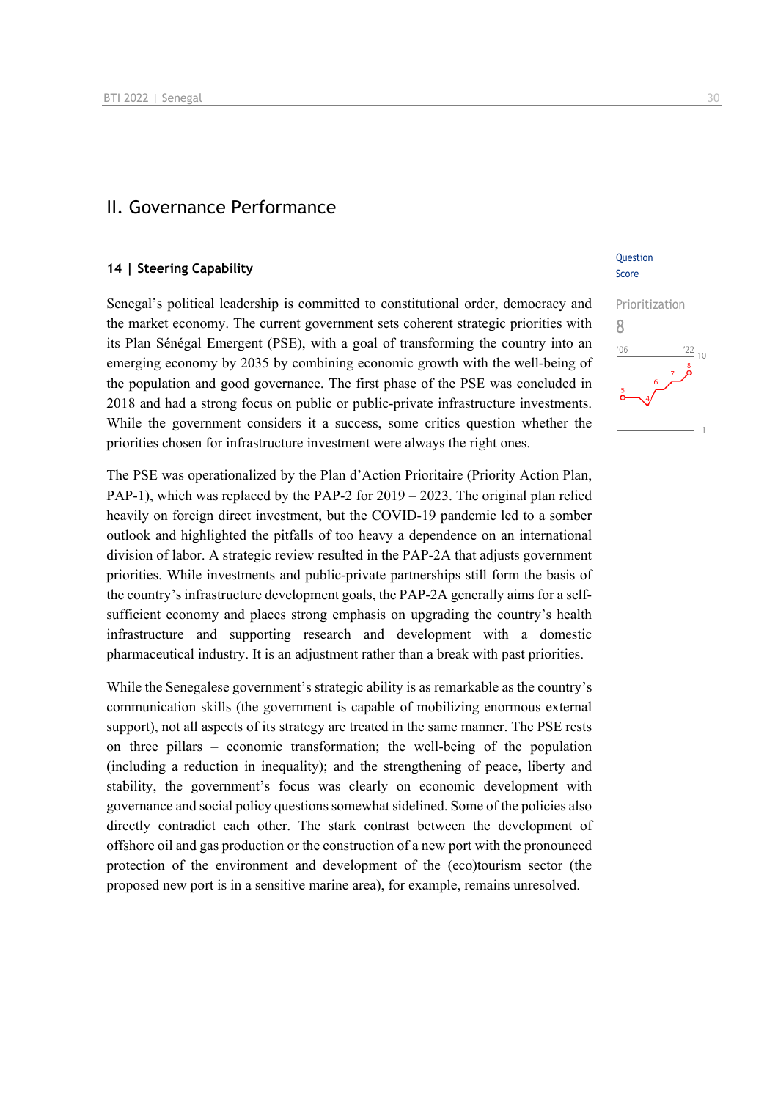#### II. Governance Performance

#### **14 | Steering Capability**

Senegal's political leadership is committed to constitutional order, democracy and the market economy. The current government sets coherent strategic priorities with its Plan Sénégal Emergent (PSE), with a goal of transforming the country into an emerging economy by 2035 by combining economic growth with the well-being of the population and good governance. The first phase of the PSE was concluded in 2018 and had a strong focus on public or public-private infrastructure investments. While the government considers it a success, some critics question whether the priorities chosen for infrastructure investment were always the right ones.

The PSE was operationalized by the Plan d'Action Prioritaire (Priority Action Plan, PAP-1), which was replaced by the PAP-2 for 2019 – 2023. The original plan relied heavily on foreign direct investment, but the COVID-19 pandemic led to a somber outlook and highlighted the pitfalls of too heavy a dependence on an international division of labor. A strategic review resulted in the PAP-2A that adjusts government priorities. While investments and public-private partnerships still form the basis of the country's infrastructure development goals, the PAP-2A generally aims for a selfsufficient economy and places strong emphasis on upgrading the country's health infrastructure and supporting research and development with a domestic pharmaceutical industry. It is an adjustment rather than a break with past priorities.

While the Senegalese government's strategic ability is as remarkable as the country's communication skills (the government is capable of mobilizing enormous external support), not all aspects of its strategy are treated in the same manner. The PSE rests on three pillars – economic transformation; the well-being of the population (including a reduction in inequality); and the strengthening of peace, liberty and stability, the government's focus was clearly on economic development with governance and social policy questions somewhat sidelined. Some of the policies also directly contradict each other. The stark contrast between the development of offshore oil and gas production or the construction of a new port with the pronounced protection of the environment and development of the (eco)tourism sector (the proposed new port is in a sensitive marine area), for example, remains unresolved.

#### Question Score

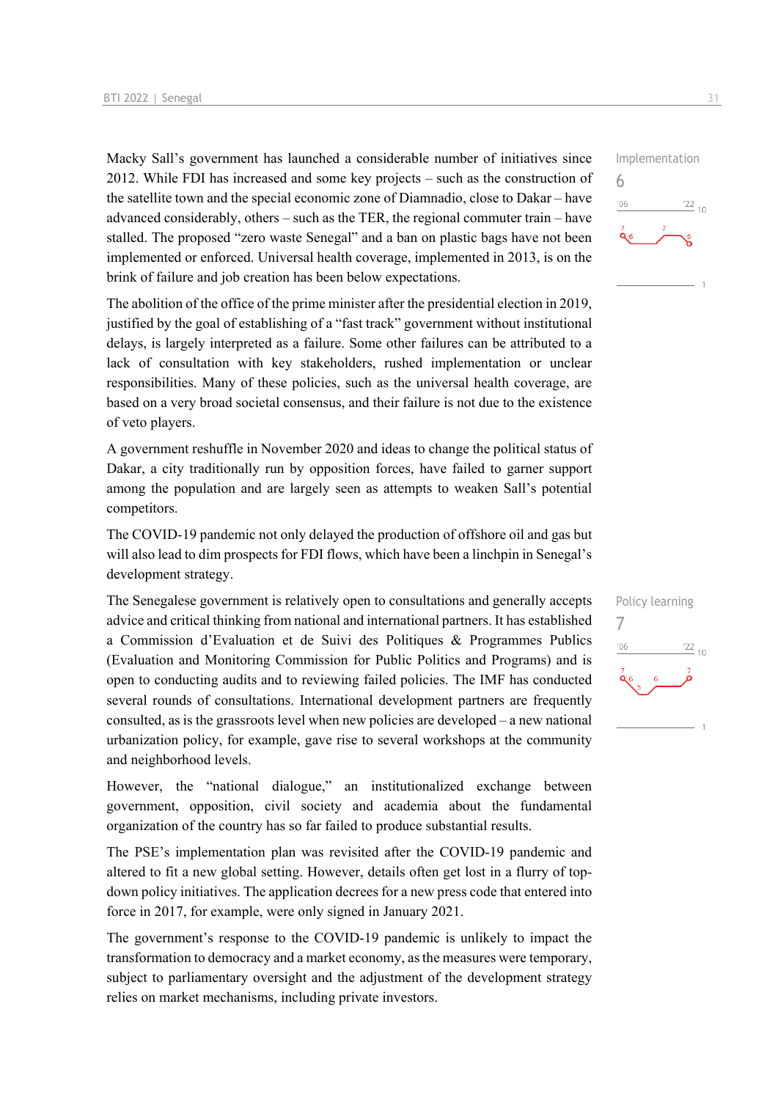Macky Sall's government has launched a considerable number of initiatives since 2012. While FDI has increased and some key projects – such as the construction of the satellite town and the special economic zone of Diamnadio, close to Dakar – have advanced considerably, others – such as the TER, the regional commuter train – have stalled. The proposed "zero waste Senegal" and a ban on plastic bags have not been implemented or enforced. Universal health coverage, implemented in 2013, is on the brink of failure and job creation has been below expectations.

The abolition of the office of the prime minister after the presidential election in 2019, justified by the goal of establishing of a "fast track" government without institutional delays, is largely interpreted as a failure. Some other failures can be attributed to a lack of consultation with key stakeholders, rushed implementation or unclear responsibilities. Many of these policies, such as the universal health coverage, are based on a very broad societal consensus, and their failure is not due to the existence of veto players.

A government reshuffle in November 2020 and ideas to change the political status of Dakar, a city traditionally run by opposition forces, have failed to garner support among the population and are largely seen as attempts to weaken Sall's potential competitors.

The COVID-19 pandemic not only delayed the production of offshore oil and gas but will also lead to dim prospects for FDI flows, which have been a linchpin in Senegal's development strategy.

The Senegalese government is relatively open to consultations and generally accepts advice and critical thinking from national and international partners. It has established a Commission d'Evaluation et de Suivi des Politiques & Programmes Publics (Evaluation and Monitoring Commission for Public Politics and Programs) and is open to conducting audits and to reviewing failed policies. The IMF has conducted several rounds of consultations. International development partners are frequently consulted, as is the grassroots level when new policies are developed – a new national urbanization policy, for example, gave rise to several workshops at the community and neighborhood levels.

However, the "national dialogue," an institutionalized exchange between government, opposition, civil society and academia about the fundamental organization of the country has so far failed to produce substantial results.

The PSE's implementation plan was revisited after the COVID-19 pandemic and altered to fit a new global setting. However, details often get lost in a flurry of topdown policy initiatives. The application decrees for a new press code that entered into force in 2017, for example, were only signed in January 2021.

The government's response to the COVID-19 pandemic is unlikely to impact the transformation to democracy and a market economy, as the measures were temporary, subject to parliamentary oversight and the adjustment of the development strategy relies on market mechanisms, including private investors.



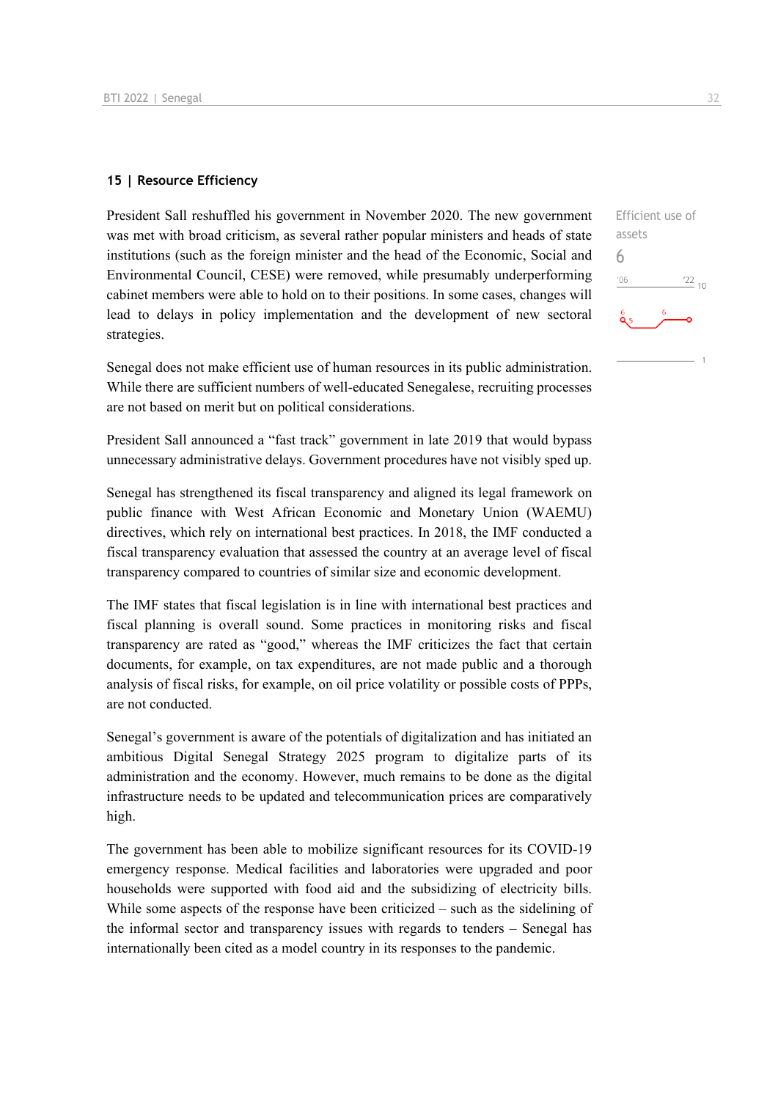#### **15 | Resource Efficiency**

President Sall reshuffled his government in November 2020. The new government was met with broad criticism, as several rather popular ministers and heads of state institutions (such as the foreign minister and the head of the Economic, Social and Environmental Council, CESE) were removed, while presumably underperforming cabinet members were able to hold on to their positions. In some cases, changes will lead to delays in policy implementation and the development of new sectoral strategies.

Senegal does not make efficient use of human resources in its public administration. While there are sufficient numbers of well-educated Senegalese, recruiting processes are not based on merit but on political considerations.

President Sall announced a "fast track" government in late 2019 that would bypass unnecessary administrative delays. Government procedures have not visibly sped up.

Senegal has strengthened its fiscal transparency and aligned its legal framework on public finance with West African Economic and Monetary Union (WAEMU) directives, which rely on international best practices. In 2018, the IMF conducted a fiscal transparency evaluation that assessed the country at an average level of fiscal transparency compared to countries of similar size and economic development.

The IMF states that fiscal legislation is in line with international best practices and fiscal planning is overall sound. Some practices in monitoring risks and fiscal transparency are rated as "good," whereas the IMF criticizes the fact that certain documents, for example, on tax expenditures, are not made public and a thorough analysis of fiscal risks, for example, on oil price volatility or possible costs of PPPs, are not conducted.

Senegal's government is aware of the potentials of digitalization and has initiated an ambitious Digital Senegal Strategy 2025 program to digitalize parts of its administration and the economy. However, much remains to be done as the digital infrastructure needs to be updated and telecommunication prices are comparatively high.

The government has been able to mobilize significant resources for its COVID-19 emergency response. Medical facilities and laboratories were upgraded and poor households were supported with food aid and the subsidizing of electricity bills. While some aspects of the response have been criticized – such as the sidelining of the informal sector and transparency issues with regards to tenders – Senegal has internationally been cited as a model country in its responses to the pandemic.

Efficient use of assets 6 $\frac{22}{10}$  $-06$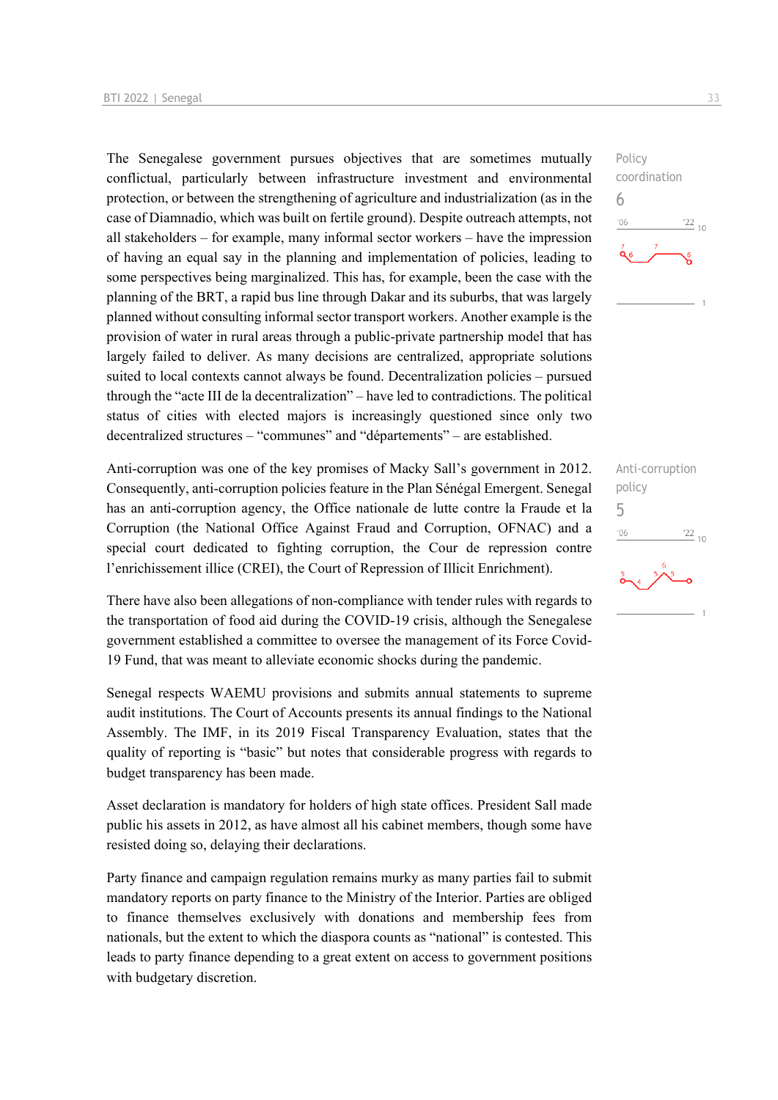The Senegalese government pursues objectives that are sometimes mutually conflictual, particularly between infrastructure investment and environmental protection, or between the strengthening of agriculture and industrialization (as in the case of Diamnadio, which was built on fertile ground). Despite outreach attempts, not all stakeholders – for example, many informal sector workers – have the impression of having an equal say in the planning and implementation of policies, leading to some perspectives being marginalized. This has, for example, been the case with the planning of the BRT, a rapid bus line through Dakar and its suburbs, that was largely planned without consulting informal sector transport workers. Another example is the provision of water in rural areas through a public-private partnership model that has largely failed to deliver. As many decisions are centralized, appropriate solutions suited to local contexts cannot always be found. Decentralization policies – pursued through the "acte III de la decentralization" – have led to contradictions. The political status of cities with elected majors is increasingly questioned since only two decentralized structures – "communes" and "départements" – are established.

Anti-corruption was one of the key promises of Macky Sall's government in 2012. Consequently, anti-corruption policies feature in the Plan Sénégal Emergent. Senegal has an anti-corruption agency, the Office nationale de lutte contre la Fraude et la Corruption (the National Office Against Fraud and Corruption, OFNAC) and a special court dedicated to fighting corruption, the Cour de repression contre l'enrichissement illice (CREI), the Court of Repression of Illicit Enrichment).

There have also been allegations of non-compliance with tender rules with regards to the transportation of food aid during the COVID-19 crisis, although the Senegalese government established a committee to oversee the management of its Force Covid-19 Fund, that was meant to alleviate economic shocks during the pandemic.

Senegal respects WAEMU provisions and submits annual statements to supreme audit institutions. The Court of Accounts presents its annual findings to the National Assembly. The IMF, in its 2019 Fiscal Transparency Evaluation, states that the quality of reporting is "basic" but notes that considerable progress with regards to budget transparency has been made.

Asset declaration is mandatory for holders of high state offices. President Sall made public his assets in 2012, as have almost all his cabinet members, though some have resisted doing so, delaying their declarations.

Party finance and campaign regulation remains murky as many parties fail to submit mandatory reports on party finance to the Ministry of the Interior. Parties are obliged to finance themselves exclusively with donations and membership fees from nationals, but the extent to which the diaspora counts as "national" is contested. This leads to party finance depending to a great extent on access to government positions with budgetary discretion.



Anti-corruption policy 5 $\frac{22}{10}$  $06'$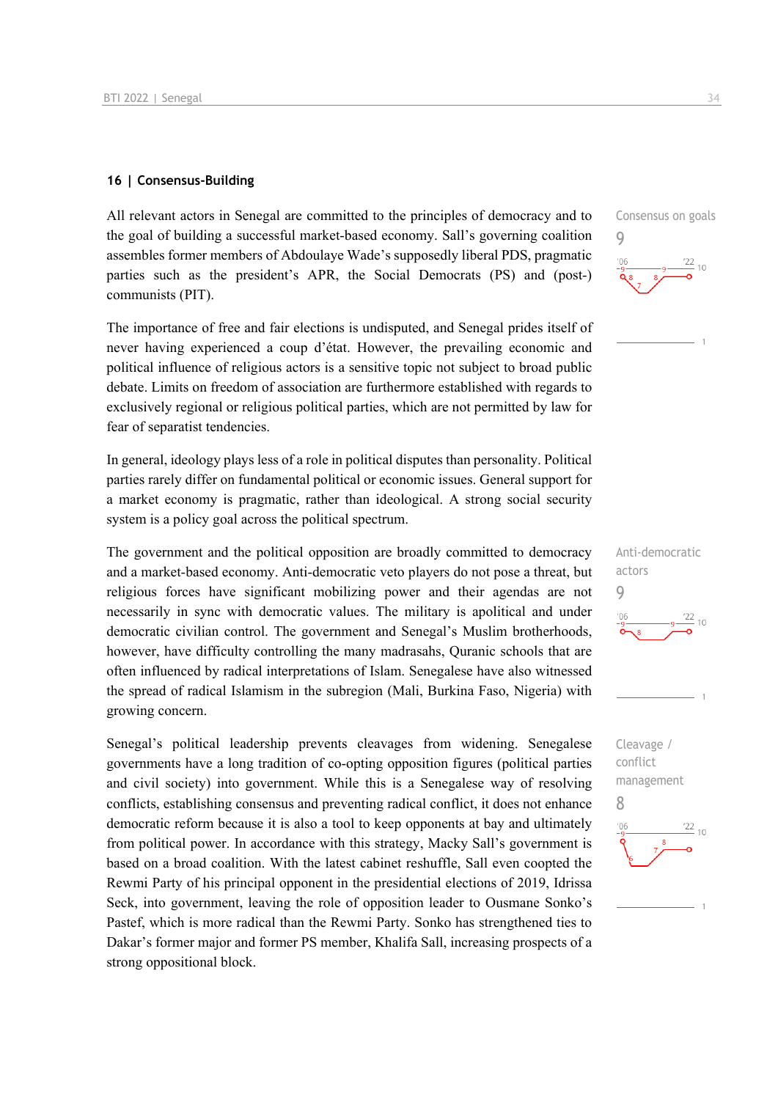#### **16 | Consensus-Building**

All relevant actors in Senegal are committed to the principles of democracy and to the goal of building a successful market-based economy. Sall's governing coalition assembles former members of Abdoulaye Wade's supposedly liberal PDS, pragmatic parties such as the president's APR, the Social Democrats (PS) and (post-) communists (PIT).

The importance of free and fair elections is undisputed, and Senegal prides itself of never having experienced a coup d'état. However, the prevailing economic and political influence of religious actors is a sensitive topic not subject to broad public debate. Limits on freedom of association are furthermore established with regards to exclusively regional or religious political parties, which are not permitted by law for fear of separatist tendencies.

In general, ideology plays less of a role in political disputes than personality. Political parties rarely differ on fundamental political or economic issues. General support for a market economy is pragmatic, rather than ideological. A strong social security system is a policy goal across the political spectrum.

The government and the political opposition are broadly committed to democracy and a market-based economy. Anti-democratic veto players do not pose a threat, but religious forces have significant mobilizing power and their agendas are not necessarily in sync with democratic values. The military is apolitical and under democratic civilian control. The government and Senegal's Muslim brotherhoods, however, have difficulty controlling the many madrasahs, Quranic schools that are often influenced by radical interpretations of Islam. Senegalese have also witnessed the spread of radical Islamism in the subregion (Mali, Burkina Faso, Nigeria) with growing concern.

Senegal's political leadership prevents cleavages from widening. Senegalese governments have a long tradition of co-opting opposition figures (political parties and civil society) into government. While this is a Senegalese way of resolving conflicts, establishing consensus and preventing radical conflict, it does not enhance democratic reform because it is also a tool to keep opponents at bay and ultimately from political power. In accordance with this strategy, Macky Sall's government is based on a broad coalition. With the latest cabinet reshuffle, Sall even coopted the Rewmi Party of his principal opponent in the presidential elections of 2019, Idrissa Seck, into government, leaving the role of opposition leader to Ousmane Sonko's Pastef, which is more radical than the Rewmi Party. Sonko has strengthened ties to Dakar's former major and former PS member, Khalifa Sall, increasing prospects of a strong oppositional block.

Consensus on goals 9  $\frac{22}{10}$  10



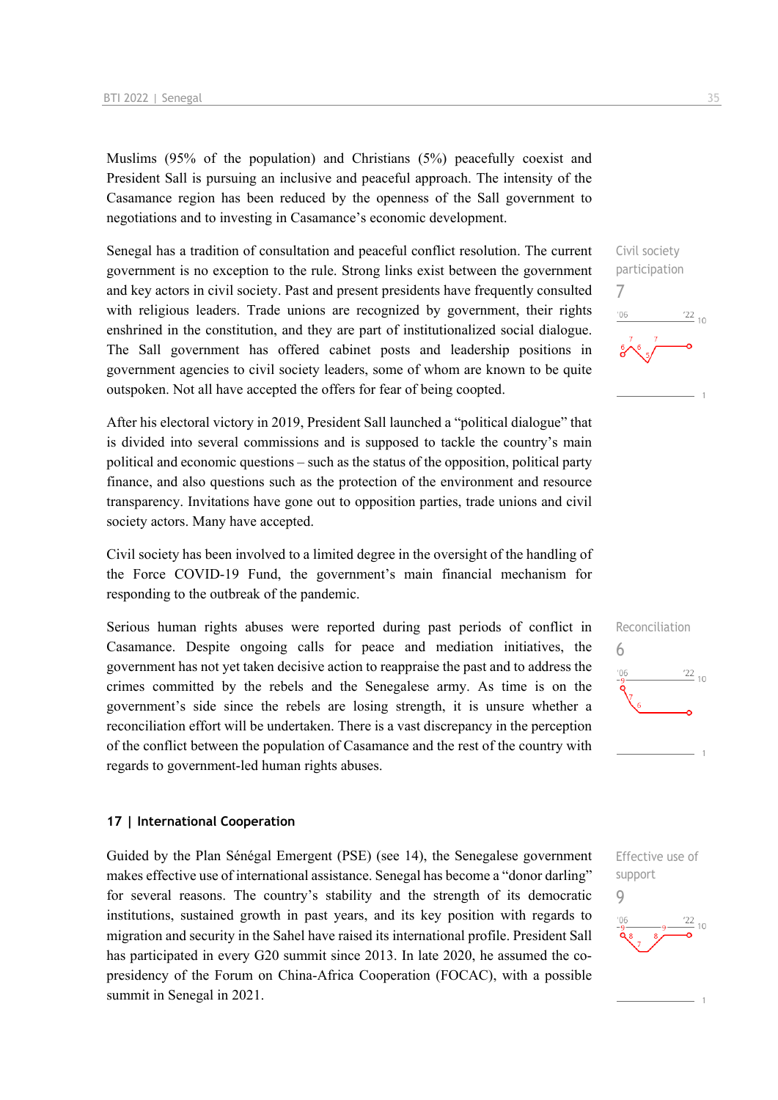Muslims (95% of the population) and Christians (5%) peacefully coexist and President Sall is pursuing an inclusive and peaceful approach. The intensity of the Casamance region has been reduced by the openness of the Sall government to negotiations and to investing in Casamance's economic development.

Senegal has a tradition of consultation and peaceful conflict resolution. The current government is no exception to the rule. Strong links exist between the government and key actors in civil society. Past and present presidents have frequently consulted with religious leaders. Trade unions are recognized by government, their rights enshrined in the constitution, and they are part of institutionalized social dialogue. The Sall government has offered cabinet posts and leadership positions in government agencies to civil society leaders, some of whom are known to be quite outspoken. Not all have accepted the offers for fear of being coopted.

After his electoral victory in 2019, President Sall launched a "political dialogue" that is divided into several commissions and is supposed to tackle the country's main political and economic questions – such as the status of the opposition, political party finance, and also questions such as the protection of the environment and resource transparency. Invitations have gone out to opposition parties, trade unions and civil society actors. Many have accepted.

Civil society has been involved to a limited degree in the oversight of the handling of the Force COVID-19 Fund, the government's main financial mechanism for responding to the outbreak of the pandemic.

Serious human rights abuses were reported during past periods of conflict in Casamance. Despite ongoing calls for peace and mediation initiatives, the government has not yet taken decisive action to reappraise the past and to address the crimes committed by the rebels and the Senegalese army. As time is on the government's side since the rebels are losing strength, it is unsure whether a reconciliation effort will be undertaken. There is a vast discrepancy in the perception of the conflict between the population of Casamance and the rest of the country with regards to government-led human rights abuses.

#### **17 | International Cooperation**

Guided by the Plan Sénégal Emergent (PSE) (see 14), the Senegalese government makes effective use of international assistance. Senegal has become a "donor darling" for several reasons. The country's stability and the strength of its democratic institutions, sustained growth in past years, and its key position with regards to migration and security in the Sahel have raised its international profile. President Sall has participated in every G20 summit since 2013. In late 2020, he assumed the copresidency of the Forum on China-Africa Cooperation (FOCAC), with a possible summit in Senegal in 2021.





Effective use of support 9 $\frac{22}{10}$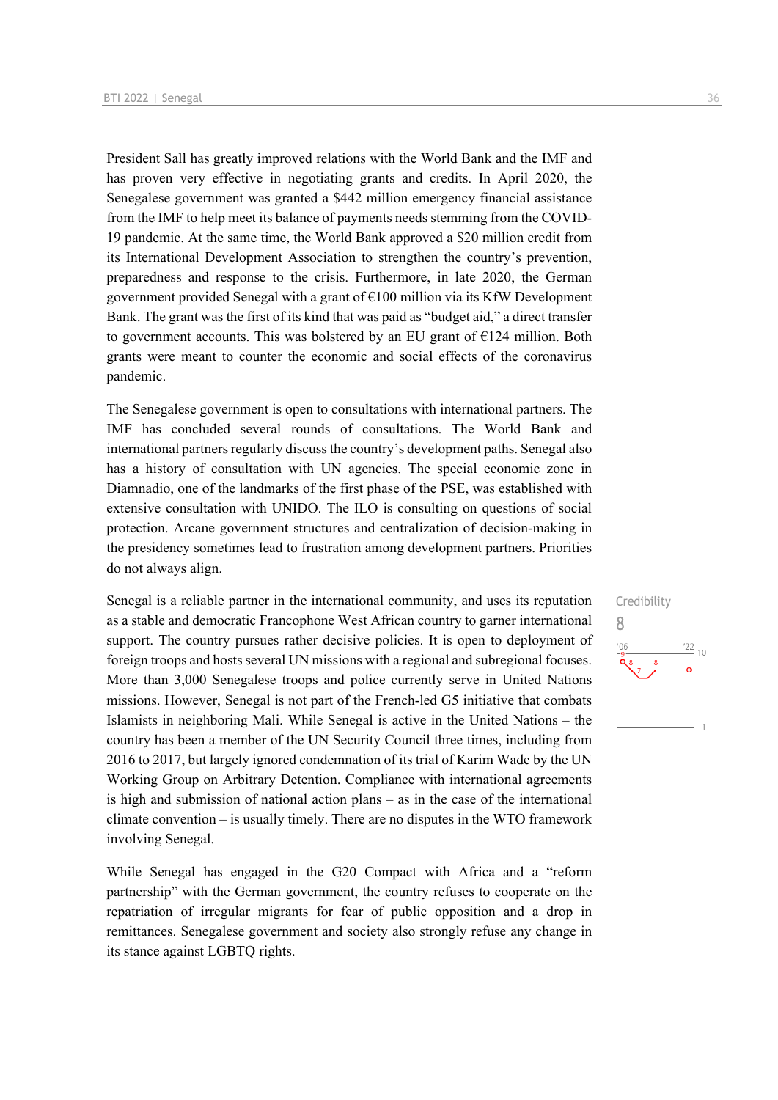President Sall has greatly improved relations with the World Bank and the IMF and has proven very effective in negotiating grants and credits. In April 2020, the Senegalese government was granted a \$442 million emergency financial assistance from the IMF to help meet its balance of payments needs stemming from the COVID-19 pandemic. At the same time, the World Bank approved a \$20 million credit from its International Development Association to strengthen the country's prevention, preparedness and response to the crisis. Furthermore, in late 2020, the German government provided Senegal with a grant of  $E100$  million via its KfW Development Bank. The grant was the first of its kind that was paid as "budget aid," a direct transfer to government accounts. This was bolstered by an EU grant of  $E124$  million. Both grants were meant to counter the economic and social effects of the coronavirus pandemic.

The Senegalese government is open to consultations with international partners. The IMF has concluded several rounds of consultations. The World Bank and international partners regularly discuss the country's development paths. Senegal also has a history of consultation with UN agencies. The special economic zone in Diamnadio, one of the landmarks of the first phase of the PSE, was established with extensive consultation with UNIDO. The ILO is consulting on questions of social protection. Arcane government structures and centralization of decision-making in the presidency sometimes lead to frustration among development partners. Priorities do not always align.

Senegal is a reliable partner in the international community, and uses its reputation as a stable and democratic Francophone West African country to garner international support. The country pursues rather decisive policies. It is open to deployment of foreign troops and hosts several UN missions with a regional and subregional focuses. More than 3,000 Senegalese troops and police currently serve in United Nations missions. However, Senegal is not part of the French-led G5 initiative that combats Islamists in neighboring Mali. While Senegal is active in the United Nations – the country has been a member of the UN Security Council three times, including from 2016 to 2017, but largely ignored condemnation of its trial of Karim Wade by the UN Working Group on Arbitrary Detention. Compliance with international agreements is high and submission of national action plans – as in the case of the international climate convention – is usually timely. There are no disputes in the WTO framework involving Senegal.

While Senegal has engaged in the G20 Compact with Africa and a "reform partnership" with the German government, the country refuses to cooperate on the repatriation of irregular migrants for fear of public opposition and a drop in remittances. Senegalese government and society also strongly refuse any change in its stance against LGBTQ rights.

Credibility 8 $\frac{22}{10}$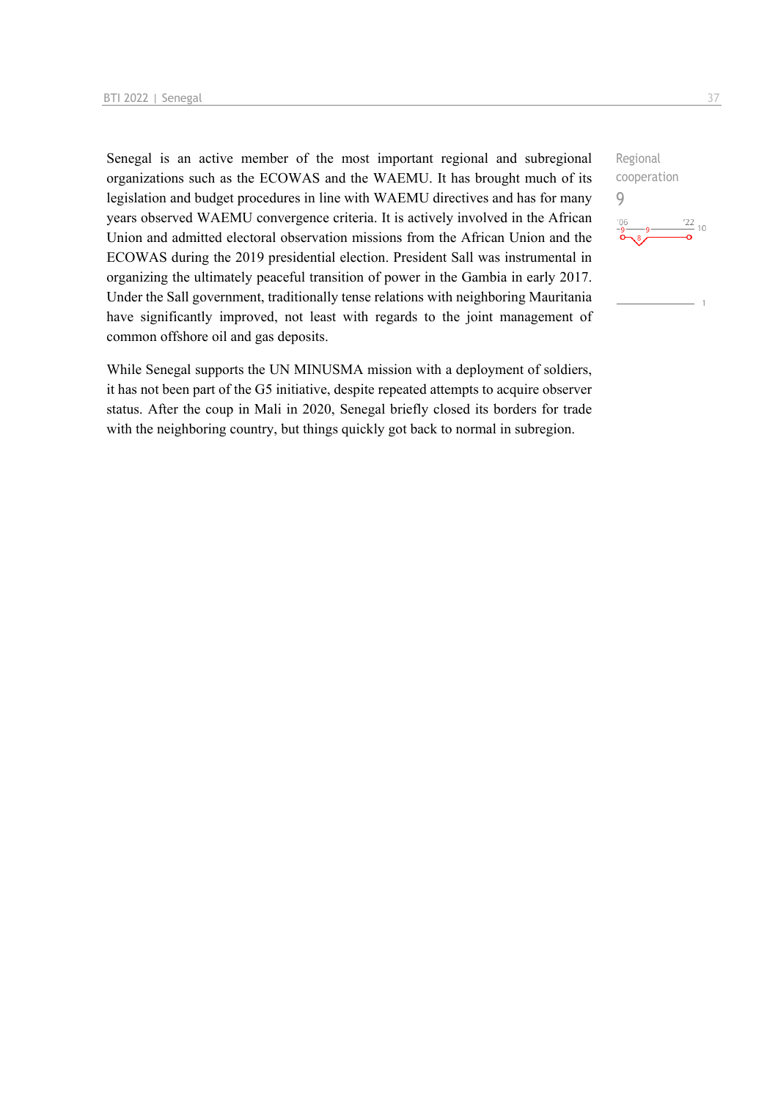Senegal is an active member of the most important regional and subregional organizations such as the ECOWAS and the WAEMU. It has brought much of its legislation and budget procedures in line with WAEMU directives and has for many years observed WAEMU convergence criteria. It is actively involved in the African Union and admitted electoral observation missions from the African Union and the ECOWAS during the 2019 presidential election. President Sall was instrumental in organizing the ultimately peaceful transition of power in the Gambia in early 2017. Under the Sall government, traditionally tense relations with neighboring Mauritania have significantly improved, not least with regards to the joint management of common offshore oil and gas deposits.

While Senegal supports the UN MINUSMA mission with a deployment of soldiers, it has not been part of the G5 initiative, despite repeated attempts to acquire observer status. After the coup in Mali in 2020, Senegal briefly closed its borders for trade with the neighboring country, but things quickly got back to normal in subregion.

Regional cooperation 9 $\frac{22}{10}$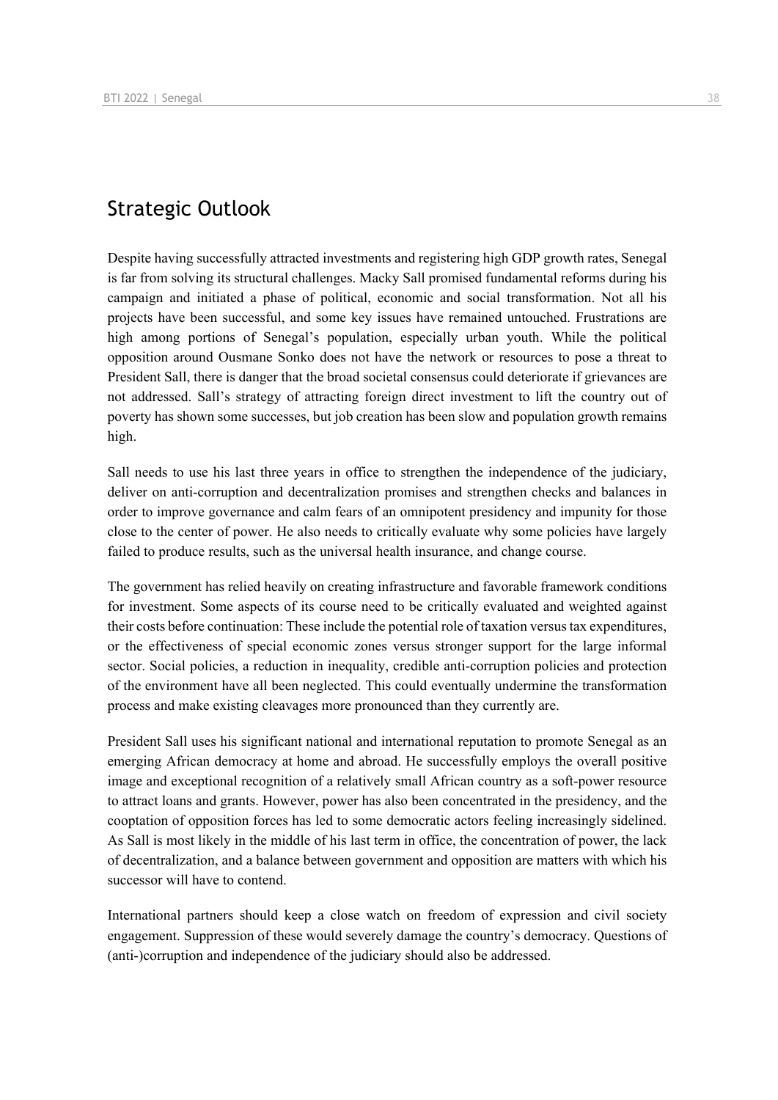## Strategic Outlook

Despite having successfully attracted investments and registering high GDP growth rates, Senegal is far from solving its structural challenges. Macky Sall promised fundamental reforms during his campaign and initiated a phase of political, economic and social transformation. Not all his projects have been successful, and some key issues have remained untouched. Frustrations are high among portions of Senegal's population, especially urban youth. While the political opposition around Ousmane Sonko does not have the network or resources to pose a threat to President Sall, there is danger that the broad societal consensus could deteriorate if grievances are not addressed. Sall's strategy of attracting foreign direct investment to lift the country out of poverty has shown some successes, but job creation has been slow and population growth remains high.

Sall needs to use his last three years in office to strengthen the independence of the judiciary, deliver on anti-corruption and decentralization promises and strengthen checks and balances in order to improve governance and calm fears of an omnipotent presidency and impunity for those close to the center of power. He also needs to critically evaluate why some policies have largely failed to produce results, such as the universal health insurance, and change course.

The government has relied heavily on creating infrastructure and favorable framework conditions for investment. Some aspects of its course need to be critically evaluated and weighted against their costs before continuation: These include the potential role of taxation versus tax expenditures, or the effectiveness of special economic zones versus stronger support for the large informal sector. Social policies, a reduction in inequality, credible anti-corruption policies and protection of the environment have all been neglected. This could eventually undermine the transformation process and make existing cleavages more pronounced than they currently are.

President Sall uses his significant national and international reputation to promote Senegal as an emerging African democracy at home and abroad. He successfully employs the overall positive image and exceptional recognition of a relatively small African country as a soft-power resource to attract loans and grants. However, power has also been concentrated in the presidency, and the cooptation of opposition forces has led to some democratic actors feeling increasingly sidelined. As Sall is most likely in the middle of his last term in office, the concentration of power, the lack of decentralization, and a balance between government and opposition are matters with which his successor will have to contend.

International partners should keep a close watch on freedom of expression and civil society engagement. Suppression of these would severely damage the country's democracy. Questions of (anti-)corruption and independence of the judiciary should also be addressed.